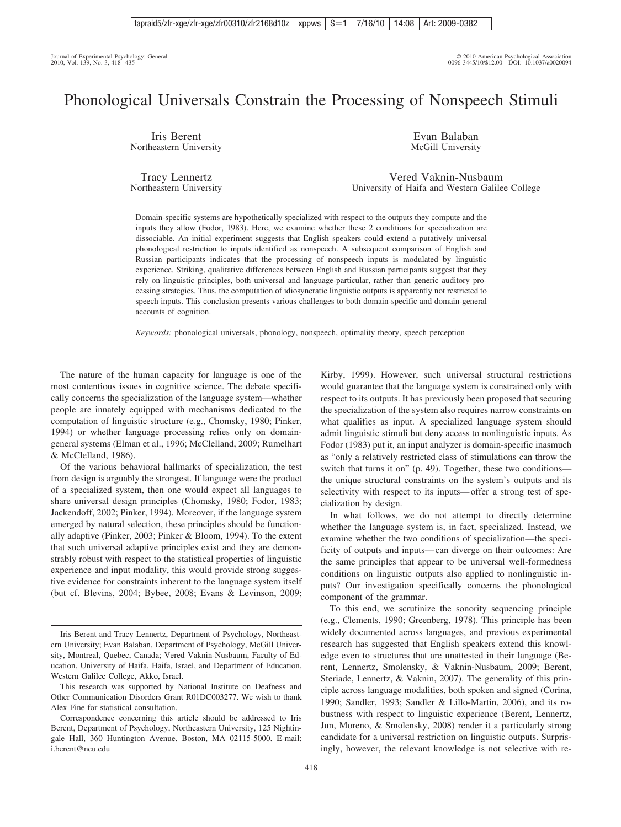Journal of Experimental Psychology: General 2010, Vol. 139, No. 3, 418-435

# Phonological Universals Constrain the Processing of Nonspeech Stimuli

Iris Berent Northeastern University

Tracy Lennertz Northeastern University

Evan Balaban McGill University

Vered Vaknin-Nusbaum University of Haifa and Western Galilee College

Domain-specific systems are hypothetically specialized with respect to the outputs they compute and the inputs they allow (Fodor, 1983). Here, we examine whether these 2 conditions for specialization are dissociable. An initial experiment suggests that English speakers could extend a putatively universal phonological restriction to inputs identified as nonspeech. A subsequent comparison of English and Russian participants indicates that the processing of nonspeech inputs is modulated by linguistic experience. Striking, qualitative differences between English and Russian participants suggest that they rely on linguistic principles, both universal and language-particular, rather than generic auditory processing strategies. Thus, the computation of idiosyncratic linguistic outputs is apparently not restricted to speech inputs. This conclusion presents various challenges to both domain-specific and domain-general accounts of cognition.

*Keywords:* phonological universals, phonology, nonspeech, optimality theory, speech perception

The nature of the human capacity for language is one of the most contentious issues in cognitive science. The debate specifically concerns the specialization of the language system—whether people are innately equipped with mechanisms dedicated to the computation of linguistic structure (e.g., Chomsky, 1980; Pinker, 1994) or whether language processing relies only on domaingeneral systems (Elman et al., 1996; McClelland, 2009; Rumelhart & McClelland, 1986).

Of the various behavioral hallmarks of specialization, the test from design is arguably the strongest. If language were the product of a specialized system, then one would expect all languages to share universal design principles (Chomsky, 1980; Fodor, 1983; Jackendoff, 2002; Pinker, 1994). Moreover, if the language system emerged by natural selection, these principles should be functionally adaptive (Pinker, 2003; Pinker & Bloom, 1994). To the extent that such universal adaptive principles exist and they are demonstrably robust with respect to the statistical properties of linguistic experience and input modality, this would provide strong suggestive evidence for constraints inherent to the language system itself (but cf. Blevins, 2004; Bybee, 2008; Evans & Levinson, 2009; Kirby, 1999). However, such universal structural restrictions would guarantee that the language system is constrained only with respect to its outputs. It has previously been proposed that securing the specialization of the system also requires narrow constraints on what qualifies as input. A specialized language system should admit linguistic stimuli but deny access to nonlinguistic inputs. As Fodor (1983) put it, an input analyzer is domain-specific inasmuch as "only a relatively restricted class of stimulations can throw the switch that turns it on" (p. 49). Together, these two conditions the unique structural constraints on the system's outputs and its selectivity with respect to its inputs— offer a strong test of specialization by design.

In what follows, we do not attempt to directly determine whether the language system is, in fact, specialized. Instead, we examine whether the two conditions of specialization—the specificity of outputs and inputs— can diverge on their outcomes: Are the same principles that appear to be universal well-formedness conditions on linguistic outputs also applied to nonlinguistic inputs? Our investigation specifically concerns the phonological component of the grammar.

To this end, we scrutinize the sonority sequencing principle (e.g., Clements, 1990; Greenberg, 1978). This principle has been widely documented across languages, and previous experimental research has suggested that English speakers extend this knowledge even to structures that are unattested in their language (Berent, Lennertz, Smolensky, & Vaknin-Nusbaum, 2009; Berent, Steriade, Lennertz, & Vaknin, 2007). The generality of this principle across language modalities, both spoken and signed (Corina, 1990; Sandler, 1993; Sandler & Lillo-Martin, 2006), and its robustness with respect to linguistic experience (Berent, Lennertz, Jun, Moreno, & Smolensky, 2008) render it a particularly strong candidate for a universal restriction on linguistic outputs. Surprisingly, however, the relevant knowledge is not selective with re-

Iris Berent and Tracy Lennertz, Department of Psychology, Northeastern University; Evan Balaban, Department of Psychology, McGill University, Montreal, Quebec, Canada; Vered Vaknin-Nusbaum, Faculty of Education, University of Haifa, Haifa, Israel, and Department of Education, Western Galilee College, Akko, Israel.

This research was supported by National Institute on Deafness and Other Communication Disorders Grant R01DC003277. We wish to thank Alex Fine for statistical consultation.

Correspondence concerning this article should be addressed to Iris Berent, Department of Psychology, Northeastern University, 125 Nightingale Hall, 360 Huntington Avenue, Boston, MA 02115-5000. E-mail: i.berent@neu.edu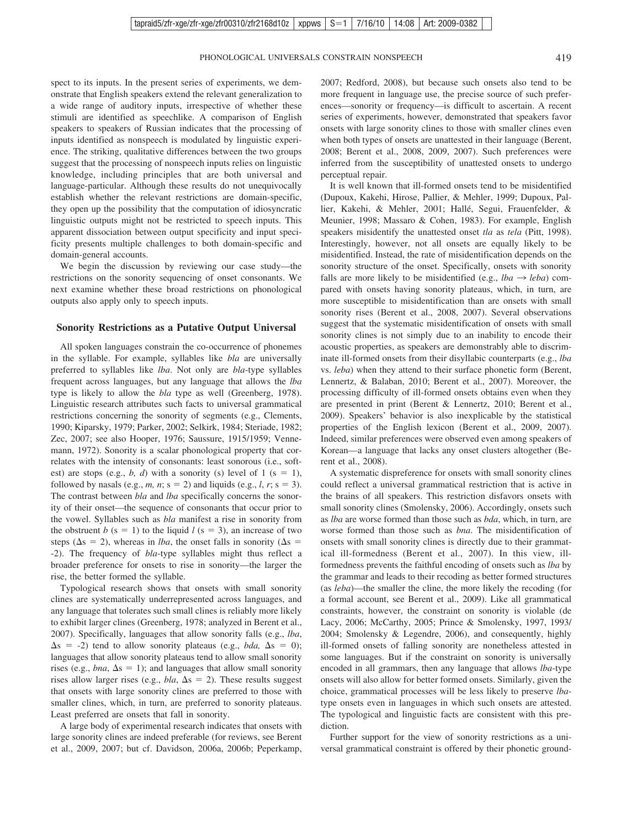spect to its inputs. In the present series of experiments, we demonstrate that English speakers extend the relevant generalization to a wide range of auditory inputs, irrespective of whether these stimuli are identified as speechlike. A comparison of English speakers to speakers of Russian indicates that the processing of inputs identified as nonspeech is modulated by linguistic experience. The striking, qualitative differences between the two groups suggest that the processing of nonspeech inputs relies on linguistic knowledge, including principles that are both universal and language-particular. Although these results do not unequivocally establish whether the relevant restrictions are domain-specific, they open up the possibility that the computation of idiosyncratic linguistic outputs might not be restricted to speech inputs. This apparent dissociation between output specificity and input specificity presents multiple challenges to both domain-specific and domain-general accounts.

We begin the discussion by reviewing our case study—the restrictions on the sonority sequencing of onset consonants. We next examine whether these broad restrictions on phonological outputs also apply only to speech inputs.

### **Sonority Restrictions as a Putative Output Universal**

All spoken languages constrain the co-occurrence of phonemes in the syllable. For example, syllables like *bla* are universally preferred to syllables like *lba*. Not only are *bla*-type syllables frequent across languages, but any language that allows the *lba* type is likely to allow the *bla* type as well (Greenberg, 1978). Linguistic research attributes such facts to universal grammatical restrictions concerning the sonority of segments (e.g., Clements, 1990; Kiparsky, 1979; Parker, 2002; Selkirk, 1984; Steriade, 1982; Zec, 2007; see also Hooper, 1976; Saussure, 1915/1959; Vennemann, 1972). Sonority is a scalar phonological property that correlates with the intensity of consonants: least sonorous (i.e., softest) are stops (e.g., *b*, *d*) with a sonority (s) level of 1 (s = 1), followed by nasals (e.g., *m*, *n*; s = 2) and liquids (e.g., *l*, *r*; s = 3). The contrast between *bla* and *lba* specifically concerns the sonority of their onset—the sequence of consonants that occur prior to the vowel. Syllables such as *bla* manifest a rise in sonority from the obstruent *b* ( $s = 1$ ) to the liquid *l* ( $s = 3$ ), an increase of two steps ( $\Delta s = 2$ ), whereas in *lba*, the onset falls in sonority ( $\Delta s =$ -2). The frequency of *bla*-type syllables might thus reflect a broader preference for onsets to rise in sonority—the larger the rise, the better formed the syllable.

Typological research shows that onsets with small sonority clines are systematically underrepresented across languages, and any language that tolerates such small clines is reliably more likely to exhibit larger clines (Greenberg, 1978; analyzed in Berent et al., 2007). Specifically, languages that allow sonority falls (e.g., *lba*,  $\Delta s = -2$ ) tend to allow sonority plateaus (e.g., *bda*,  $\Delta s = 0$ ); languages that allow sonority plateaus tend to allow small sonority rises (e.g., *bna*,  $\Delta s = 1$ ); and languages that allow small sonority rises allow larger rises (e.g.,  $bla$ ,  $\Delta s = 2$ ). These results suggest that onsets with large sonority clines are preferred to those with smaller clines, which, in turn, are preferred to sonority plateaus. Least preferred are onsets that fall in sonority.

A large body of experimental research indicates that onsets with large sonority clines are indeed preferable (for reviews, see Berent et al., 2009, 2007; but cf. Davidson, 2006a, 2006b; Peperkamp, 2007; Redford, 2008), but because such onsets also tend to be more frequent in language use, the precise source of such preferences—sonority or frequency—is difficult to ascertain. A recent series of experiments, however, demonstrated that speakers favor onsets with large sonority clines to those with smaller clines even when both types of onsets are unattested in their language (Berent, 2008; Berent et al., 2008, 2009, 2007). Such preferences were inferred from the susceptibility of unattested onsets to undergo perceptual repair.

It is well known that ill-formed onsets tend to be misidentified (Dupoux, Kakehi, Hirose, Pallier, & Mehler, 1999; Dupoux, Pallier, Kakehi, & Mehler, 2001; Hallé, Segui, Frauenfelder, & Meunier, 1998; Massaro & Cohen, 1983). For example, English speakers misidentify the unattested onset *tla* as *tela* (Pitt, 1998). Interestingly, however, not all onsets are equally likely to be misidentified. Instead, the rate of misidentification depends on the sonority structure of the onset. Specifically, onsets with sonority falls are more likely to be misidentified (e.g.,  $lba \rightarrow leba$ ) compared with onsets having sonority plateaus, which, in turn, are more susceptible to misidentification than are onsets with small sonority rises (Berent et al., 2008, 2007). Several observations suggest that the systematic misidentification of onsets with small sonority clines is not simply due to an inability to encode their acoustic properties, as speakers are demonstrably able to discriminate ill-formed onsets from their disyllabic counterparts (e.g., *lba* vs. *leba*) when they attend to their surface phonetic form (Berent, Lennertz, & Balaban, 2010; Berent et al., 2007). Moreover, the processing difficulty of ill-formed onsets obtains even when they are presented in print (Berent & Lennertz, 2010; Berent et al., 2009). Speakers' behavior is also inexplicable by the statistical properties of the English lexicon (Berent et al., 2009, 2007). Indeed, similar preferences were observed even among speakers of Korean—a language that lacks any onset clusters altogether (Berent et al., 2008).

A systematic dispreference for onsets with small sonority clines could reflect a universal grammatical restriction that is active in the brains of all speakers. This restriction disfavors onsets with small sonority clines (Smolensky, 2006). Accordingly, onsets such as *lba* are worse formed than those such as *bda*, which, in turn, are worse formed than those such as *bna*. The misidentification of onsets with small sonority clines is directly due to their grammatical ill-formedness (Berent et al., 2007). In this view, illformedness prevents the faithful encoding of onsets such as *lba* by the grammar and leads to their recoding as better formed structures (as *leba*)—the smaller the cline, the more likely the recoding (for a formal account, see Berent et al., 2009). Like all grammatical constraints, however, the constraint on sonority is violable (de Lacy, 2006; McCarthy, 2005; Prince & Smolensky, 1997, 1993/ 2004; Smolensky & Legendre, 2006), and consequently, highly ill-formed onsets of falling sonority are nonetheless attested in some languages. But if the constraint on sonority is universally encoded in all grammars, then any language that allows *lba*-type onsets will also allow for better formed onsets. Similarly, given the choice, grammatical processes will be less likely to preserve *lba*type onsets even in languages in which such onsets are attested. The typological and linguistic facts are consistent with this prediction.

Further support for the view of sonority restrictions as a universal grammatical constraint is offered by their phonetic ground-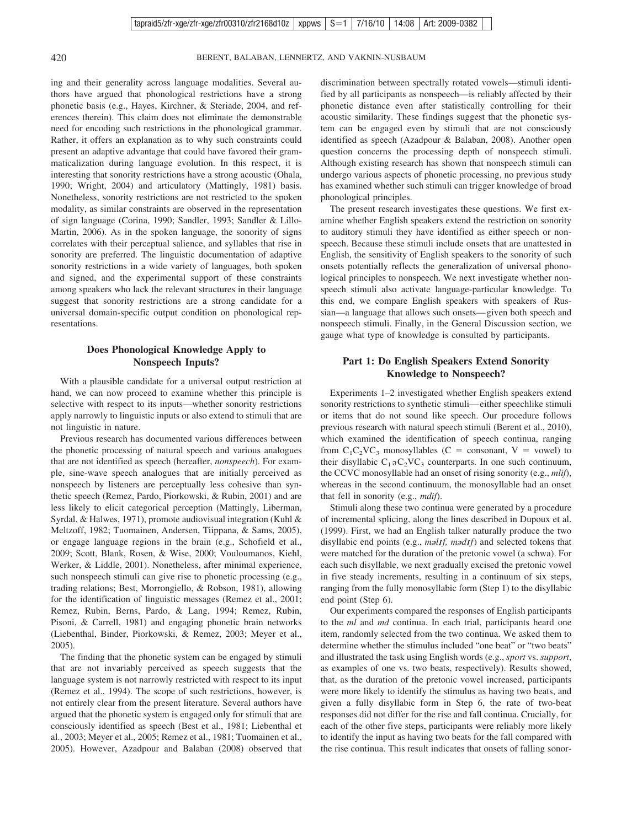ing and their generality across language modalities. Several authors have argued that phonological restrictions have a strong phonetic basis (e.g., Hayes, Kirchner, & Steriade, 2004, and references therein). This claim does not eliminate the demonstrable need for encoding such restrictions in the phonological grammar. Rather, it offers an explanation as to why such constraints could present an adaptive advantage that could have favored their grammaticalization during language evolution. In this respect, it is interesting that sonority restrictions have a strong acoustic (Ohala, 1990; Wright, 2004) and articulatory (Mattingly, 1981) basis. Nonetheless, sonority restrictions are not restricted to the spoken modality, as similar constraints are observed in the representation of sign language (Corina, 1990; Sandler, 1993; Sandler & Lillo-Martin, 2006). As in the spoken language, the sonority of signs correlates with their perceptual salience, and syllables that rise in sonority are preferred. The linguistic documentation of adaptive sonority restrictions in a wide variety of languages, both spoken and signed, and the experimental support of these constraints among speakers who lack the relevant structures in their language suggest that sonority restrictions are a strong candidate for a universal domain-specific output condition on phonological representations.

### **Does Phonological Knowledge Apply to Nonspeech Inputs?**

With a plausible candidate for a universal output restriction at hand, we can now proceed to examine whether this principle is selective with respect to its inputs—whether sonority restrictions apply narrowly to linguistic inputs or also extend to stimuli that are not linguistic in nature.

Previous research has documented various differences between the phonetic processing of natural speech and various analogues that are not identified as speech (hereafter, *nonspeech*). For example, sine-wave speech analogues that are initially perceived as nonspeech by listeners are perceptually less cohesive than synthetic speech (Remez, Pardo, Piorkowski, & Rubin, 2001) and are less likely to elicit categorical perception (Mattingly, Liberman, Syrdal, & Halwes, 1971), promote audiovisual integration (Kuhl & Meltzoff, 1982; Tuomainen, Andersen, Tiippana, & Sams, 2005), or engage language regions in the brain (e.g., Schofield et al., 2009; Scott, Blank, Rosen, & Wise, 2000; Vouloumanos, Kiehl, Werker, & Liddle, 2001). Nonetheless, after minimal experience, such nonspeech stimuli can give rise to phonetic processing (e.g., trading relations; Best, Morrongiello, & Robson, 1981), allowing for the identification of linguistic messages (Remez et al., 2001; Remez, Rubin, Berns, Pardo, & Lang, 1994; Remez, Rubin, Pisoni, & Carrell, 1981) and engaging phonetic brain networks (Liebenthal, Binder, Piorkowski, & Remez, 2003; Meyer et al., 2005).

The finding that the phonetic system can be engaged by stimuli that are not invariably perceived as speech suggests that the language system is not narrowly restricted with respect to its input (Remez et al., 1994). The scope of such restrictions, however, is not entirely clear from the present literature. Several authors have argued that the phonetic system is engaged only for stimuli that are consciously identified as speech (Best et al., 1981; Liebenthal et al., 2003; Meyer et al., 2005; Remez et al., 1981; Tuomainen et al., 2005). However, Azadpour and Balaban (2008) observed that discrimination between spectrally rotated vowels—stimuli identified by all participants as nonspeech—is reliably affected by their phonetic distance even after statistically controlling for their acoustic similarity. These findings suggest that the phonetic system can be engaged even by stimuli that are not consciously identified as speech (Azadpour & Balaban, 2008). Another open question concerns the processing depth of nonspeech stimuli. Although existing research has shown that nonspeech stimuli can undergo various aspects of phonetic processing, no previous study has examined whether such stimuli can trigger knowledge of broad phonological principles.

The present research investigates these questions. We first examine whether English speakers extend the restriction on sonority to auditory stimuli they have identified as either speech or nonspeech. Because these stimuli include onsets that are unattested in English, the sensitivity of English speakers to the sonority of such onsets potentially reflects the generalization of universal phonological principles to nonspeech. We next investigate whether nonspeech stimuli also activate language-particular knowledge. To this end, we compare English speakers with speakers of Russian—a language that allows such onsets— given both speech and nonspeech stimuli. Finally, in the General Discussion section, we gauge what type of knowledge is consulted by participants.

### **Part 1: Do English Speakers Extend Sonority Knowledge to Nonspeech?**

Experiments 1–2 investigated whether English speakers extend sonority restrictions to synthetic stimuli— either speechlike stimuli or items that do not sound like speech. Our procedure follows previous research with natural speech stimuli (Berent et al., 2010), which examined the identification of speech continua, ranging from  $C_1C_2VC_3$  monosyllables (C = consonant, V = vowel) to their disyllabic  $C_1 \circ C_2 \vee C_3$  counterparts. In one such continuum, the CCVC monosyllable had an onset of rising sonority (e.g., *mlif*), whereas in the second continuum, the monosyllable had an onset that fell in sonority (e.g., *mdif*).

Stimuli along these two continua were generated by a procedure of incremental splicing, along the lines described in Dupoux et al. (1999). First, we had an English talker naturally produce the two disyllabic end points (e.g., *mallf, madlf*) and selected tokens that were matched for the duration of the pretonic vowel (a schwa). For each such disyllable, we next gradually excised the pretonic vowel in five steady increments, resulting in a continuum of six steps, ranging from the fully monosyllabic form (Step 1) to the disyllabic end point (Step 6).

Our experiments compared the responses of English participants to the *ml* and *md* continua. In each trial, participants heard one item, randomly selected from the two continua. We asked them to determine whether the stimulus included "one beat" or "two beats" and illustrated the task using English words (e.g., *sport* vs. *support*, as examples of one vs. two beats, respectively). Results showed, that, as the duration of the pretonic vowel increased, participants were more likely to identify the stimulus as having two beats, and given a fully disyllabic form in Step 6, the rate of two-beat responses did not differ for the rise and fall continua. Crucially, for each of the other five steps, participants were reliably more likely to identify the input as having two beats for the fall compared with the rise continua. This result indicates that onsets of falling sonor-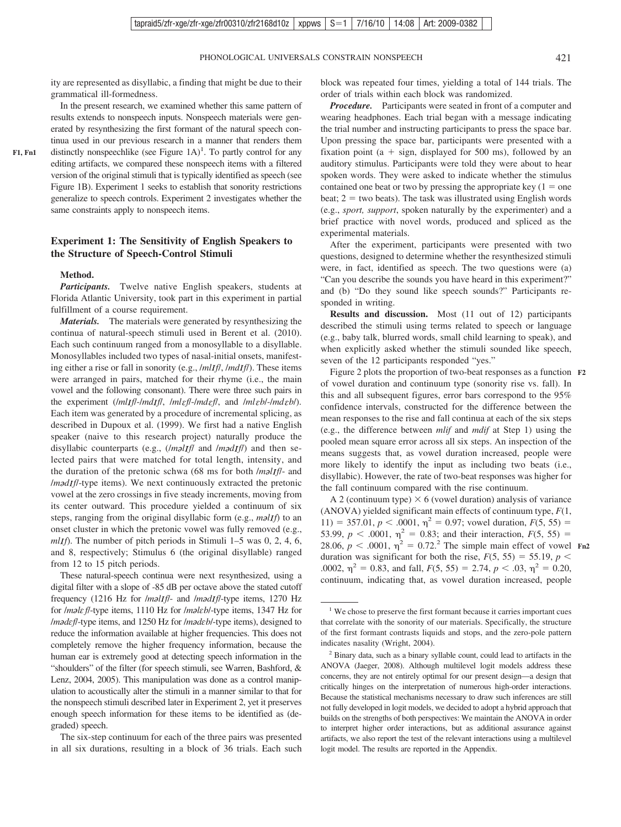ity are represented as disyllabic, a finding that might be due to their grammatical ill-formedness.

In the present research, we examined whether this same pattern of results extends to nonspeech inputs. Nonspeech materials were generated by resynthesizing the first formant of the natural speech continua used in our previous research in a manner that renders them distinctly nonspeechlike (see Figure  $1A$ )<sup>1</sup>. To partly control for any editing artifacts, we compared these nonspeech items with a filtered version of the original stimuli that is typically identified as speech (see Figure 1B). Experiment 1 seeks to establish that sonority restrictions generalize to speech controls. Experiment 2 investigates whether the same constraints apply to nonspeech items.

### **Experiment 1: The Sensitivity of English Speakers to the Structure of Speech-Control Stimuli**

#### **Method.**

**F1, Fn1**

*Participants.* Twelve native English speakers, students at Florida Atlantic University, took part in this experiment in partial fulfillment of a course requirement.

*Materials.* The materials were generated by resynthesizing the continua of natural-speech stimuli used in Berent et al. (2010). Each such continuum ranged from a monosyllable to a disyllable. Monosyllables included two types of nasal-initial onsets, manifesting either a rise or fall in sonority (e.g., /mlIf/, /mdIf/). These items were arranged in pairs, matched for their rhyme (i.e., the main vowel and the following consonant). There were three such pairs in the experiment (/*ml f*/-/*md f*/, /*ml f*/-/*md f*/, and /*ml b*/-/*md b*/). Each item was generated by a procedure of incremental splicing, as described in Dupoux et al. (1999). We first had a native English speaker (naive to this research project) naturally produce the disyllabic counterparts (e.g., (/malIf/ and /madIf/) and then selected pairs that were matched for total length, intensity, and the duration of the pretonic schwa (68 ms for both */mal1f/*- and /*m d f*/-type items). We next continuously extracted the pretonic vowel at the zero crossings in five steady increments, moving from its center outward. This procedure yielded a continuum of six steps, ranging from the original disyllabic form (e.g.,  $m$ *oltf*) to an onset cluster in which the pretonic vowel was fully removed (e.g., *mlIf*). The number of pitch periods in Stimuli 1–5 was 0, 2, 4, 6, and 8, respectively; Stimulus 6 (the original disyllable) ranged from 12 to 15 pitch periods.

These natural-speech continua were next resynthesized, using a digital filter with a slope of -85 dB per octave above the stated cutoff frequency (1216 Hz for */malIf/-* and */madIf/-type items, 1270 Hz* for /*m l f*/-type items, 1110 Hz for /*m l b*/-type items, 1347 Hz for /*m d f*/-type items, and 1250 Hz for /*m d b*/-type items), designed to reduce the information available at higher frequencies. This does not completely remove the higher frequency information, because the human ear is extremely good at detecting speech information in the "shoulders" of the filter (for speech stimuli, see Warren, Bashford, & Lenz, 2004, 2005). This manipulation was done as a control manipulation to acoustically alter the stimuli in a manner similar to that for the nonspeech stimuli described later in Experiment 2, yet it preserves enough speech information for these items to be identified as (degraded) speech.

The six-step continuum for each of the three pairs was presented in all six durations, resulting in a block of 36 trials. Each such block was repeated four times, yielding a total of 144 trials. The order of trials within each block was randomized.

*Procedure.* Participants were seated in front of a computer and wearing headphones. Each trial began with a message indicating the trial number and instructing participants to press the space bar. Upon pressing the space bar, participants were presented with a fixation point ( $a + sign$ , displayed for 500 ms), followed by an auditory stimulus. Participants were told they were about to hear spoken words. They were asked to indicate whether the stimulus contained one beat or two by pressing the appropriate key  $(1 = one$ beat;  $2 =$  two beats). The task was illustrated using English words (e.g., *sport, support*, spoken naturally by the experimenter) and a brief practice with novel words, produced and spliced as the experimental materials.

After the experiment, participants were presented with two questions, designed to determine whether the resynthesized stimuli were, in fact, identified as speech. The two questions were (a) "Can you describe the sounds you have heard in this experiment?" and (b) "Do they sound like speech sounds?" Participants responded in writing.

**Results and discussion.** Most (11 out of 12) participants described the stimuli using terms related to speech or language (e.g., baby talk, blurred words, small child learning to speak), and when explicitly asked whether the stimuli sounded like speech, seven of the 12 participants responded "yes."

Figure 2 plots the proportion of two-beat responses as a function **F2** of vowel duration and continuum type (sonority rise vs. fall). In this and all subsequent figures, error bars correspond to the 95% confidence intervals, constructed for the difference between the mean responses to the rise and fall continua at each of the six steps (e.g., the difference between *mlif* and *mdif* at Step 1) using the pooled mean square error across all six steps. An inspection of the means suggests that, as vowel duration increased, people were more likely to identify the input as including two beats (i.e., disyllabic). However, the rate of two-beat responses was higher for the fall continuum compared with the rise continuum.

A 2 (continuum type)  $\times$  6 (vowel duration) analysis of variance (ANOVA) yielded significant main effects of continuum type, *F*(1, 11) = 357.01,  $p < .0001$ ,  $\eta^2 = 0.97$ ; vowel duration,  $F(5, 55) =$ 53.99,  $p < .0001$ ,  $\eta^2 = 0.83$ ; and their interaction,  $F(5, 55) =$ 28.06,  $p < .0001$ ,  $\eta^2 = 0.72$ .<sup>2</sup> The simple main effect of vowel Fn2 duration was significant for both the rise,  $F(5, 55) = 55.19$ ,  $p <$ .0002,  $\eta^2 = 0.83$ , and fall,  $F(5, 55) = 2.74$ ,  $p < .03$ ,  $\eta^2 = 0.20$ , continuum, indicating that, as vowel duration increased, people

<sup>&</sup>lt;sup>1</sup> We chose to preserve the first formant because it carries important cues that correlate with the sonority of our materials. Specifically, the structure of the first formant contrasts liquids and stops, and the zero-pole pattern indicates nasality (Wright, 2004).

<sup>2</sup> Binary data, such as a binary syllable count, could lead to artifacts in the ANOVA (Jaeger, 2008). Although multilevel logit models address these concerns, they are not entirely optimal for our present design—a design that critically hinges on the interpretation of numerous high-order interactions. Because the statistical mechanisms necessary to draw such inferences are still not fully developed in logit models, we decided to adopt a hybrid approach that builds on the strengths of both perspectives: We maintain the ANOVA in order to interpret higher order interactions, but as additional assurance against artifacts, we also report the test of the relevant interactions using a multilevel logit model. The results are reported in the Appendix.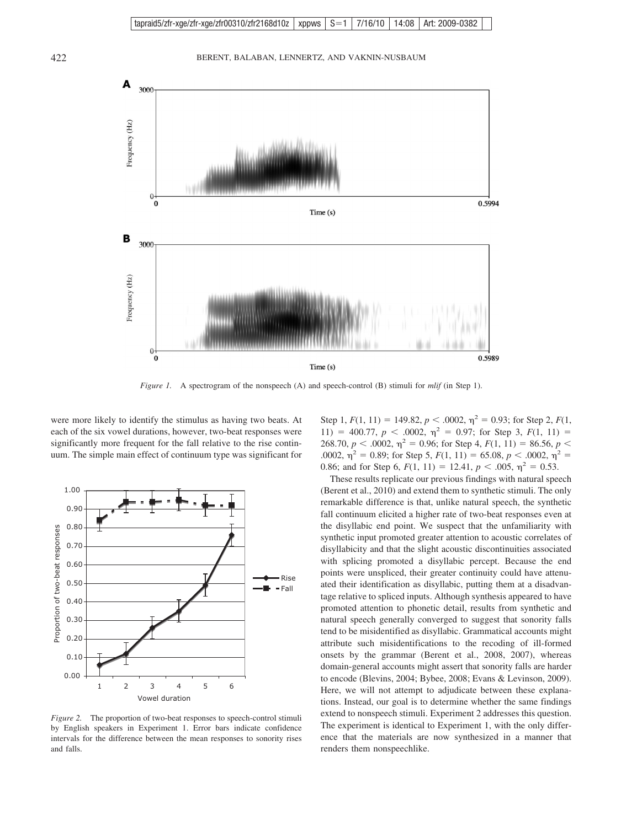

*Figure 1.* A spectrogram of the nonspeech (A) and speech-control (B) stimuli for *mlif* (in Step 1).

were more likely to identify the stimulus as having two beats. At each of the six vowel durations, however, two-beat responses were significantly more frequent for the fall relative to the rise continuum. The simple main effect of continuum type was significant for



*Figure 2.* The proportion of two-beat responses to speech-control stimuli by English speakers in Experiment 1. Error bars indicate confidence intervals for the difference between the mean responses to sonority rises and falls.

Step 1,  $F(1, 11) = 149.82, p < .0002, \eta^2 = 0.93$ ; for Step 2,  $F(1, 11) = 149.82, p < .0002, \eta^2 = 0.93$ ; for Step 2,  $F(1, 11) = 149.82, p < .0002, \eta^2 = 0.93$ ; for Step 2,  $F(1, 11) = 149.82, p < .0002, \eta^2 = 0.93$ ; for Step 2,  $F(1, 11)$ 11) = 400.77,  $p < .0002$ ,  $\eta^2 = 0.97$ ; for Step 3,  $F(1, 11) =$ 268.70,  $p < .0002$ ,  $\eta^2 = 0.96$ ; for Step 4,  $F(1, 11) = 86.56$ ,  $p <$ .0002,  $\eta^2 = 0.89$ ; for Step 5,  $F(1, 11) = 65.08$ ,  $p < .0002$ ,  $\eta^2 =$ 0.86; and for Step 6,  $F(1, 11) = 12.41$ ,  $p < .005$ ,  $\eta^2 = 0.53$ .

These results replicate our previous findings with natural speech (Berent et al., 2010) and extend them to synthetic stimuli. The only remarkable difference is that, unlike natural speech, the synthetic fall continuum elicited a higher rate of two-beat responses even at the disyllabic end point. We suspect that the unfamiliarity with synthetic input promoted greater attention to acoustic correlates of disyllabicity and that the slight acoustic discontinuities associated with splicing promoted a disyllabic percept. Because the end points were unspliced, their greater continuity could have attenuated their identification as disyllabic, putting them at a disadvantage relative to spliced inputs. Although synthesis appeared to have promoted attention to phonetic detail, results from synthetic and natural speech generally converged to suggest that sonority falls tend to be misidentified as disyllabic. Grammatical accounts might attribute such misidentifications to the recoding of ill-formed onsets by the grammar (Berent et al., 2008, 2007), whereas domain-general accounts might assert that sonority falls are harder to encode (Blevins, 2004; Bybee, 2008; Evans & Levinson, 2009). Here, we will not attempt to adjudicate between these explanations. Instead, our goal is to determine whether the same findings extend to nonspeech stimuli. Experiment 2 addresses this question. The experiment is identical to Experiment 1, with the only difference that the materials are now synthesized in a manner that renders them nonspeechlike.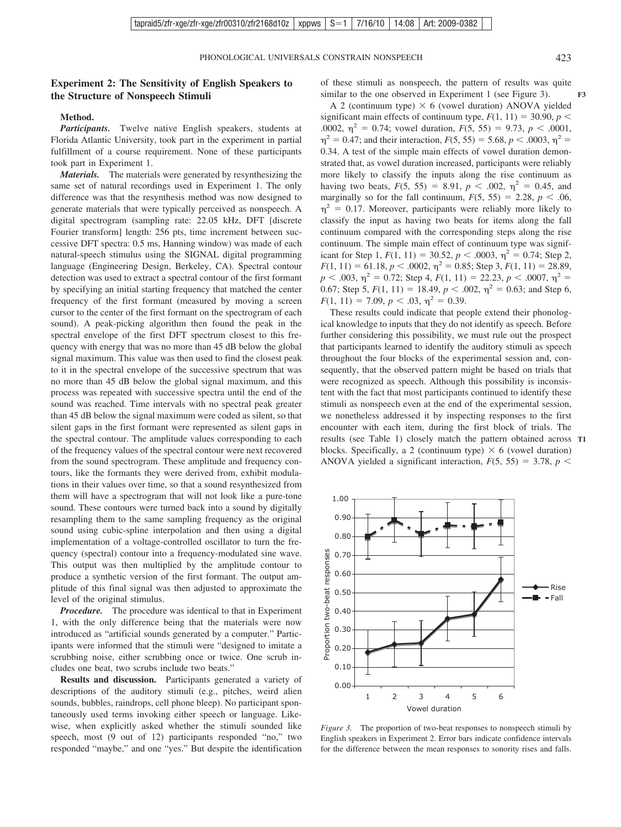### **Experiment 2: The Sensitivity of English Speakers to the Structure of Nonspeech Stimuli**

#### **Method.**

*Participants.* Twelve native English speakers, students at Florida Atlantic University, took part in the experiment in partial fulfillment of a course requirement. None of these participants took part in Experiment 1.

*Materials.* The materials were generated by resynthesizing the same set of natural recordings used in Experiment 1. The only difference was that the resynthesis method was now designed to generate materials that were typically perceived as nonspeech. A digital spectrogram (sampling rate: 22.05 kHz, DFT [discrete Fourier transform] length: 256 pts, time increment between successive DFT spectra: 0.5 ms, Hanning window) was made of each natural-speech stimulus using the SIGNAL digital programming language (Engineering Design, Berkeley, CA). Spectral contour detection was used to extract a spectral contour of the first formant by specifying an initial starting frequency that matched the center frequency of the first formant (measured by moving a screen cursor to the center of the first formant on the spectrogram of each sound). A peak-picking algorithm then found the peak in the spectral envelope of the first DFT spectrum closest to this frequency with energy that was no more than 45 dB below the global signal maximum. This value was then used to find the closest peak to it in the spectral envelope of the successive spectrum that was no more than 45 dB below the global signal maximum, and this process was repeated with successive spectra until the end of the sound was reached. Time intervals with no spectral peak greater than 45 dB below the signal maximum were coded as silent, so that silent gaps in the first formant were represented as silent gaps in the spectral contour. The amplitude values corresponding to each of the frequency values of the spectral contour were next recovered from the sound spectrogram. These amplitude and frequency contours, like the formants they were derived from, exhibit modulations in their values over time, so that a sound resynthesized from them will have a spectrogram that will not look like a pure-tone sound. These contours were turned back into a sound by digitally resampling them to the same sampling frequency as the original sound using cubic-spline interpolation and then using a digital implementation of a voltage-controlled oscillator to turn the frequency (spectral) contour into a frequency-modulated sine wave. This output was then multiplied by the amplitude contour to produce a synthetic version of the first formant. The output amplitude of this final signal was then adjusted to approximate the level of the original stimulus.

*Procedure.* The procedure was identical to that in Experiment 1, with the only difference being that the materials were now introduced as "artificial sounds generated by a computer." Participants were informed that the stimuli were "designed to imitate a scrubbing noise, either scrubbing once or twice. One scrub includes one beat, two scrubs include two beats."

**Results and discussion.** Participants generated a variety of descriptions of the auditory stimuli (e.g., pitches, weird alien sounds, bubbles, raindrops, cell phone bleep). No participant spontaneously used terms invoking either speech or language. Likewise, when explicitly asked whether the stimuli sounded like speech, most (9 out of 12) participants responded "no," two responded "maybe," and one "yes." But despite the identification of these stimuli as nonspeech, the pattern of results was quite similar to the one observed in Experiment 1 (see Figure 3).

A 2 (continuum type)  $\times$  6 (vowel duration) ANOVA yielded significant main effects of continuum type,  $F(1, 11) = 30.90$ ,  $p <$ .0002,  $\eta^2 = 0.74$ ; vowel duration,  $F(5, 55) = 9.73$ ,  $p < .0001$ ,  $\eta^2 = 0.47$ ; and their interaction,  $F(5, 55) = 5.68$ ,  $p < .0003$ ,  $\eta^2 =$ 0.34. A test of the simple main effects of vowel duration demonstrated that, as vowel duration increased, participants were reliably more likely to classify the inputs along the rise continuum as having two beats,  $F(5, 55) = 8.91$ ,  $p < .002$ ,  $\eta^2 = 0.45$ , and marginally so for the fall continuum,  $F(5, 55) = 2.28$ ,  $p < .06$ ,  $\eta^2$  = 0.17. Moreover, participants were reliably more likely to classify the input as having two beats for items along the fall continuum compared with the corresponding steps along the rise continuum. The simple main effect of continuum type was significant for Step 1,  $F(1, 11) = 30.52$ ,  $p < .0003$ ,  $\eta^2 = 0.74$ ; Step 2,  $F(1, 11) = 61.18, p < .0002, \eta^2 = 0.85$ ; Step 3,  $F(1, 11) = 28.89$ ,  $p < .003$ ,  $\eta^2 = 0.72$ ; Step 4,  $F(1, 11) = 22.23$ ,  $p < .0007$ ,  $\eta^2 =$ 0.67; Step 5,  $F(1, 11) = 18.49$ ,  $p < .002$ ,  $\eta^2 = 0.63$ ; and Step 6,  $F(1, 11) = 7.09, p < .03, \eta^2 = 0.39.$ 

These results could indicate that people extend their phonological knowledge to inputs that they do not identify as speech. Before further considering this possibility, we must rule out the prospect that participants learned to identify the auditory stimuli as speech throughout the four blocks of the experimental session and, consequently, that the observed pattern might be based on trials that were recognized as speech. Although this possibility is inconsistent with the fact that most participants continued to identify these stimuli as nonspeech even at the end of the experimental session, we nonetheless addressed it by inspecting responses to the first encounter with each item, during the first block of trials. The results (see Table 1) closely match the pattern obtained across **T1** blocks. Specifically, a 2 (continuum type)  $\times$  6 (vowel duration) ANOVA yielded a significant interaction,  $F(5, 55) = 3.78$ ,  $p <$ 



*Figure 3.* The proportion of two-beat responses to nonspeech stimuli by English speakers in Experiment 2. Error bars indicate confidence intervals for the difference between the mean responses to sonority rises and falls.

**F3**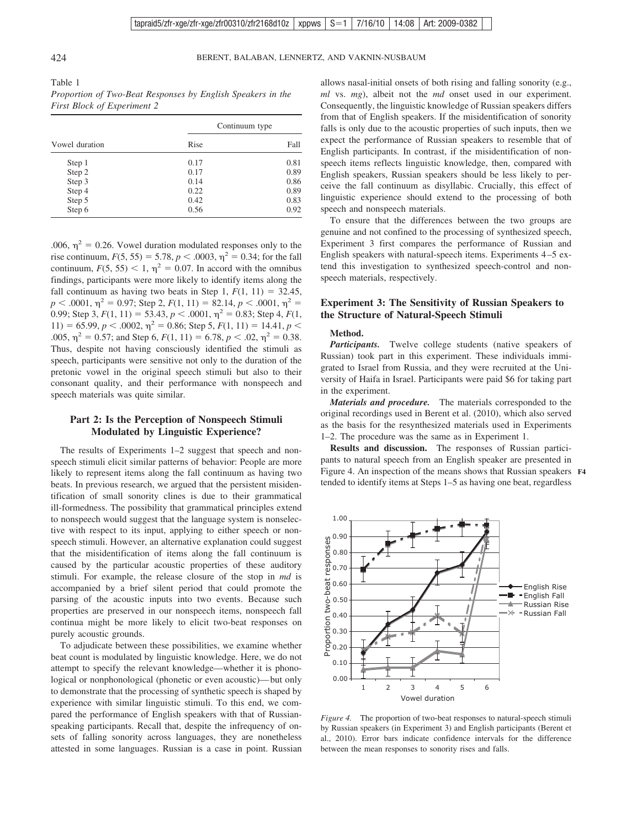Table 1 *Proportion of Two-Beat Responses by English Speakers in the First Block of Experiment 2*

| Vowel duration | Continuum type |      |  |
|----------------|----------------|------|--|
|                | Rise           | Fall |  |
| Step 1         | 0.17           | 0.81 |  |
| Step 2         | 0.17           | 0.89 |  |
| Step 3         | 0.14           | 0.86 |  |
| Step 4         | 0.22           | 0.89 |  |
| Step 5         | 0.42           | 0.83 |  |
| Step 6         | 0.56           | 0.92 |  |

.006,  $\eta^2$  = 0.26. Vowel duration modulated responses only to the rise continuum,  $F(5, 55) = 5.78$ ,  $p < .0003$ ,  $\eta^2 = 0.34$ ; for the fall continuum,  $F(5, 55) < 1$ ,  $\eta^2 = 0.07$ . In accord with the omnibus findings, participants were more likely to identify items along the fall continuum as having two beats in Step 1,  $F(1, 11) = 32.45$ ,  $p < .0001$ ,  $\eta^2 = 0.97$ ; Step 2,  $F(1, 11) = 82.14$ ,  $p < .0001$ ,  $\eta^2 =$ 0.99; Step 3,  $F(1, 11) = 53.43$ ,  $p < .0001$ ,  $\eta^2 = 0.83$ ; Step 4,  $F(1, 11) = 53.43$ ,  $p < .0001$ ,  $\eta^2 = 0.83$ ; Step 4,  $F(1, 11) = .0001$  $11$ ) = 65.99,  $p < .0002$ ,  $\eta^2 = 0.86$ ; Step 5,  $F(1, 11) = 14.41$ ,  $p <$ .005,  $\eta^2 = 0.57$ ; and Step 6,  $F(1, 11) = 6.78$ ,  $p < .02$ ,  $\eta^2 = 0.38$ . Thus, despite not having consciously identified the stimuli as speech, participants were sensitive not only to the duration of the pretonic vowel in the original speech stimuli but also to their consonant quality, and their performance with nonspeech and speech materials was quite similar.

### **Part 2: Is the Perception of Nonspeech Stimuli Modulated by Linguistic Experience?**

The results of Experiments 1–2 suggest that speech and nonspeech stimuli elicit similar patterns of behavior: People are more likely to represent items along the fall continuum as having two beats. In previous research, we argued that the persistent misidentification of small sonority clines is due to their grammatical ill-formedness. The possibility that grammatical principles extend to nonspeech would suggest that the language system is nonselective with respect to its input, applying to either speech or nonspeech stimuli. However, an alternative explanation could suggest that the misidentification of items along the fall continuum is caused by the particular acoustic properties of these auditory stimuli. For example, the release closure of the stop in *md* is accompanied by a brief silent period that could promote the parsing of the acoustic inputs into two events. Because such properties are preserved in our nonspeech items, nonspeech fall continua might be more likely to elicit two-beat responses on purely acoustic grounds.

To adjudicate between these possibilities, we examine whether beat count is modulated by linguistic knowledge. Here, we do not attempt to specify the relevant knowledge—whether it is phonological or nonphonological (phonetic or even acoustic)— but only to demonstrate that the processing of synthetic speech is shaped by experience with similar linguistic stimuli. To this end, we compared the performance of English speakers with that of Russianspeaking participants. Recall that, despite the infrequency of onsets of falling sonority across languages, they are nonetheless attested in some languages. Russian is a case in point. Russian allows nasal-initial onsets of both rising and falling sonority (e.g., *ml* vs. *mg*), albeit not the *md* onset used in our experiment. Consequently, the linguistic knowledge of Russian speakers differs from that of English speakers. If the misidentification of sonority falls is only due to the acoustic properties of such inputs, then we expect the performance of Russian speakers to resemble that of English participants. In contrast, if the misidentification of nonspeech items reflects linguistic knowledge, then, compared with English speakers, Russian speakers should be less likely to perceive the fall continuum as disyllabic. Crucially, this effect of linguistic experience should extend to the processing of both speech and nonspeech materials.

To ensure that the differences between the two groups are genuine and not confined to the processing of synthesized speech, Experiment 3 first compares the performance of Russian and English speakers with natural-speech items. Experiments 4 –5 extend this investigation to synthesized speech-control and nonspeech materials, respectively.

### **Experiment 3: The Sensitivity of Russian Speakers to the Structure of Natural-Speech Stimuli**

#### **Method.**

*Participants.* Twelve college students (native speakers of Russian) took part in this experiment. These individuals immigrated to Israel from Russia, and they were recruited at the University of Haifa in Israel. Participants were paid \$6 for taking part in the experiment.

*Materials and procedure.* The materials corresponded to the original recordings used in Berent et al. (2010), which also served as the basis for the resynthesized materials used in Experiments 1–2. The procedure was the same as in Experiment 1.

**Results and discussion.** The responses of Russian participants to natural speech from an English speaker are presented in Figure 4. An inspection of the means shows that Russian speakers **F4** tended to identify items at Steps 1–5 as having one beat, regardless



*Figure 4.* The proportion of two-beat responses to natural-speech stimuli by Russian speakers (in Experiment 3) and English participants (Berent et al., 2010). Error bars indicate confidence intervals for the difference between the mean responses to sonority rises and falls.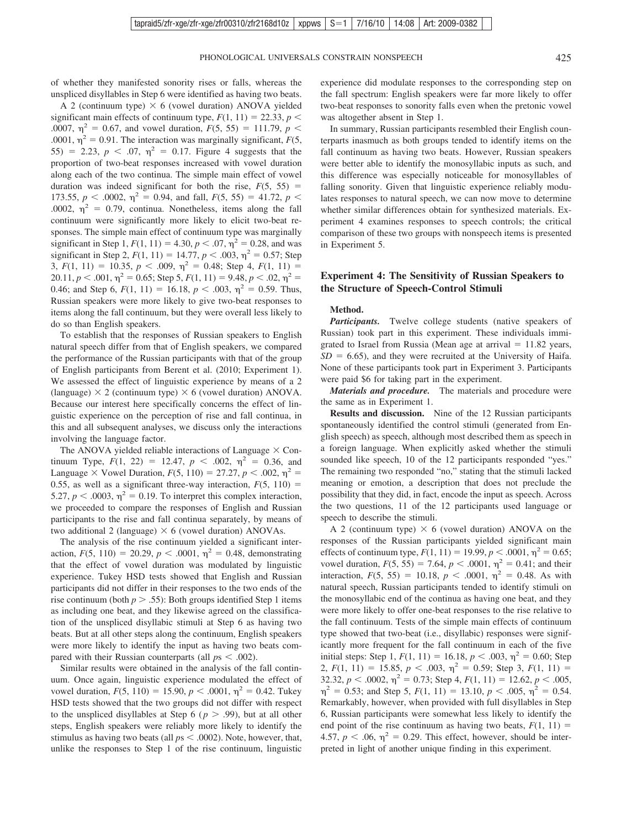of whether they manifested sonority rises or falls, whereas the unspliced disyllables in Step 6 were identified as having two beats.

A 2 (continuum type)  $\times$  6 (vowel duration) ANOVA yielded significant main effects of continuum type,  $F(1, 11) = 22.33$ ,  $p <$ .0007,  $\eta^2 = 0.67$ , and vowel duration,  $F(5, 55) = 111.79$ ,  $p <$ .0001,  $\eta^2 = 0.91$ . The interaction was marginally significant,  $F(5)$ , 55) = 2.23,  $p < .07$ ,  $\eta^2 = 0.17$ . Figure 4 suggests that the proportion of two-beat responses increased with vowel duration along each of the two continua. The simple main effect of vowel duration was indeed significant for both the rise,  $F(5, 55)$  = 173.55,  $p < .0002$ ,  $\eta^2 = 0.94$ , and fall,  $F(5, 55) = 41.72$ ,  $p <$ .0002,  $\eta^2 = 0.79$ , continua. Nonetheless, items along the fall continuum were significantly more likely to elicit two-beat responses. The simple main effect of continuum type was marginally significant in Step 1,  $F(1, 11) = 4.30, p < .07, \eta^2 = 0.28$ , and was significant in Step 2,  $F(1, 11) = 14.77$ ,  $p < .003$ ,  $\eta^2 = 0.57$ ; Step 3,  $F(1, 11) = 10.35, p < .009, \eta^2 = 0.48$ ; Step 4,  $F(1, 11) =$  $20.11, p < .001, \eta^2 = 0.65$ ; Step 5,  $F(1, 11) = 9.48, p < .02, \eta^2 =$ 0.46; and Step 6,  $F(1, 11) = 16.18$ ,  $p < .003$ ,  $\eta^2 = 0.59$ . Thus, Russian speakers were more likely to give two-beat responses to items along the fall continuum, but they were overall less likely to do so than English speakers.

To establish that the responses of Russian speakers to English natural speech differ from that of English speakers, we compared the performance of the Russian participants with that of the group of English participants from Berent et al. (2010; Experiment 1). We assessed the effect of linguistic experience by means of a 2 (language)  $\times$  2 (continuum type)  $\times$  6 (vowel duration) ANOVA. Because our interest here specifically concerns the effect of linguistic experience on the perception of rise and fall continua, in this and all subsequent analyses, we discuss only the interactions involving the language factor.

The ANOVA yielded reliable interactions of Language  $\times$  Continuum Type,  $F(1, 22) = 12.47$ ,  $p < .002$ ,  $\eta^2 = 0.36$ , and Language  $\times$  Vowel Duration,  $F(5, 110) = 27.27$ ,  $p < .002$ ,  $\eta^2 =$ 0.55, as well as a significant three-way interaction,  $F(5, 110) =$ 5.27,  $p < .0003$ ,  $\eta^2 = 0.19$ . To interpret this complex interaction, we proceeded to compare the responses of English and Russian participants to the rise and fall continua separately, by means of two additional 2 (language)  $\times$  6 (vowel duration) ANOVAs.

The analysis of the rise continuum yielded a significant interaction,  $F(5, 110) = 20.29$ ,  $p < .0001$ ,  $\eta^2 = 0.48$ , demonstrating that the effect of vowel duration was modulated by linguistic experience. Tukey HSD tests showed that English and Russian participants did not differ in their responses to the two ends of the rise continuum (both  $p > .55$ ): Both groups identified Step 1 items as including one beat, and they likewise agreed on the classification of the unspliced disyllabic stimuli at Step 6 as having two beats. But at all other steps along the continuum, English speakers were more likely to identify the input as having two beats compared with their Russian counterparts (all  $p_s < .002$ ).

Similar results were obtained in the analysis of the fall continuum. Once again, linguistic experience modulated the effect of vowel duration,  $F(5, 110) = 15.90, p < .0001, \eta^2 = 0.42$ . Tukey HSD tests showed that the two groups did not differ with respect to the unspliced disyllables at Step 6 ( $p > .99$ ), but at all other steps, English speakers were reliably more likely to identify the stimulus as having two beats (all  $ps < .0002$ ). Note, however, that, unlike the responses to Step 1 of the rise continuum, linguistic experience did modulate responses to the corresponding step on the fall spectrum: English speakers were far more likely to offer two-beat responses to sonority falls even when the pretonic vowel was altogether absent in Step 1.

In summary, Russian participants resembled their English counterparts inasmuch as both groups tended to identify items on the fall continuum as having two beats. However, Russian speakers were better able to identify the monosyllabic inputs as such, and this difference was especially noticeable for monosyllables of falling sonority. Given that linguistic experience reliably modulates responses to natural speech, we can now move to determine whether similar differences obtain for synthesized materials. Experiment 4 examines responses to speech controls; the critical comparison of these two groups with nonspeech items is presented in Experiment 5.

### **Experiment 4: The Sensitivity of Russian Speakers to the Structure of Speech-Control Stimuli**

### **Method.**

*Participants.* Twelve college students (native speakers of Russian) took part in this experiment. These individuals immigrated to Israel from Russia (Mean age at arrival  $= 11.82$  years,  $SD = 6.65$ ), and they were recruited at the University of Haifa. None of these participants took part in Experiment 3. Participants were paid \$6 for taking part in the experiment.

*Materials and procedure.* The materials and procedure were the same as in Experiment 1.

**Results and discussion.** Nine of the 12 Russian participants spontaneously identified the control stimuli (generated from English speech) as speech, although most described them as speech in a foreign language. When explicitly asked whether the stimuli sounded like speech, 10 of the 12 participants responded "yes." The remaining two responded "no," stating that the stimuli lacked meaning or emotion, a description that does not preclude the possibility that they did, in fact, encode the input as speech. Across the two questions, 11 of the 12 participants used language or speech to describe the stimuli.

A 2 (continuum type)  $\times$  6 (vowel duration) ANOVA on the responses of the Russian participants yielded significant main effects of continuum type,  $F(1, 11) = 19.99$ ,  $p < .0001$ ,  $\eta^2 = 0.65$ ; vowel duration,  $F(5, 55) = 7.64$ ,  $p < .0001$ ,  $\eta^2 = 0.41$ ; and their interaction,  $F(5, 55) = 10.18$ ,  $p < .0001$ ,  $\eta^2 = 0.48$ . As with natural speech, Russian participants tended to identify stimuli on the monosyllabic end of the continua as having one beat, and they were more likely to offer one-beat responses to the rise relative to the fall continuum. Tests of the simple main effects of continuum type showed that two-beat (i.e., disyllabic) responses were significantly more frequent for the fall continuum in each of the five initial steps: Step 1,  $F(1, 11) = 16.18$ ,  $p < .003$ ,  $\eta^2 = 0.60$ ; Step 2,  $F(1, 11) = 15.85, p < .003, \eta^2 = 0.59$ ; Step 3,  $F(1, 11) =$ 32.32,  $p < .0002$ ,  $\eta^2 = 0.73$ ; Step 4,  $F(1, 11) = 12.62$ ,  $p < .005$ ,  $\eta^2 = 0.53$ ; and Step 5,  $F(1, 11) = 13.10, p < .005, \eta^2 = 0.54$ . Remarkably, however, when provided with full disyllables in Step 6, Russian participants were somewhat less likely to identify the end point of the rise continuum as having two beats,  $F(1, 11) =$ 4.57,  $p < .06$ ,  $\eta^2 = 0.29$ . This effect, however, should be interpreted in light of another unique finding in this experiment.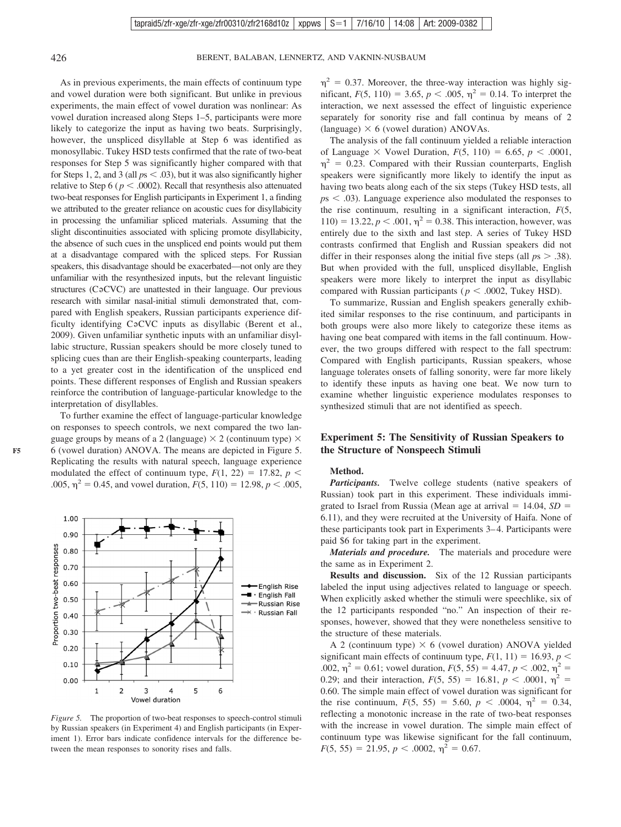As in previous experiments, the main effects of continuum type and vowel duration were both significant. But unlike in previous experiments, the main effect of vowel duration was nonlinear: As vowel duration increased along Steps 1–5, participants were more likely to categorize the input as having two beats. Surprisingly, however, the unspliced disyllable at Step 6 was identified as monosyllabic. Tukey HSD tests confirmed that the rate of two-beat responses for Step 5 was significantly higher compared with that for Steps 1, 2, and 3 (all  $ps < .03$ ), but it was also significantly higher relative to Step  $6$  ( $p < .0002$ ). Recall that resynthesis also attenuated two-beat responses for English participants in Experiment 1, a finding we attributed to the greater reliance on acoustic cues for disyllabicity in processing the unfamiliar spliced materials. Assuming that the slight discontinuities associated with splicing promote disyllabicity, the absence of such cues in the unspliced end points would put them at a disadvantage compared with the spliced steps. For Russian speakers, this disadvantage should be exacerbated—not only are they unfamiliar with the resynthesized inputs, but the relevant linguistic structures (CaCVC) are unattested in their language. Our previous research with similar nasal-initial stimuli demonstrated that, compared with English speakers, Russian participants experience difficulty identifying CaCVC inputs as disyllabic (Berent et al., 2009). Given unfamiliar synthetic inputs with an unfamiliar disyllabic structure, Russian speakers should be more closely tuned to splicing cues than are their English-speaking counterparts, leading to a yet greater cost in the identification of the unspliced end points. These different responses of English and Russian speakers reinforce the contribution of language-particular knowledge to the interpretation of disyllables.

To further examine the effect of language-particular knowledge on responses to speech controls, we next compared the two language groups by means of a 2 (language)  $\times$  2 (continuum type)  $\times$ 6 (vowel duration) ANOVA. The means are depicted in Figure 5. Replicating the results with natural speech, language experience modulated the effect of continuum type,  $F(1, 22) = 17.82$ ,  $p <$ .005,  $\eta^2 = 0.45$ , and vowel duration,  $F(5, 110) = 12.98$ ,  $p < .005$ ,



*Figure 5.* The proportion of two-beat responses to speech-control stimuli by Russian speakers (in Experiment 4) and English participants (in Experiment 1). Error bars indicate confidence intervals for the difference between the mean responses to sonority rises and falls.

 $\eta^2 = 0.37$ . Moreover, the three-way interaction was highly significant,  $F(5, 110) = 3.65$ ,  $p < .005$ ,  $\eta^2 = 0.14$ . To interpret the interaction, we next assessed the effect of linguistic experience separately for sonority rise and fall continua by means of 2 (language)  $\times$  6 (vowel duration) ANOVAs.

The analysis of the fall continuum yielded a reliable interaction of Language  $\times$  Vowel Duration,  $F(5, 110) = 6.65$ ,  $p < .0001$ ,  $\eta^2$  = 0.23. Compared with their Russian counterparts, English speakers were significantly more likely to identify the input as having two beats along each of the six steps (Tukey HSD tests, all  $p_s < .03$ ). Language experience also modulated the responses to the rise continuum, resulting in a significant interaction, *F*(5, 110) = 13.22,  $p < .001$ ,  $\eta^2 = 0.38$ . This interaction, however, was entirely due to the sixth and last step. A series of Tukey HSD contrasts confirmed that English and Russian speakers did not differ in their responses along the initial five steps (all  $ps > .38$ ). But when provided with the full, unspliced disyllable, English speakers were more likely to interpret the input as disyllabic compared with Russian participants ( $p < .0002$ , Tukey HSD).

To summarize, Russian and English speakers generally exhibited similar responses to the rise continuum, and participants in both groups were also more likely to categorize these items as having one beat compared with items in the fall continuum. However, the two groups differed with respect to the fall spectrum: Compared with English participants, Russian speakers, whose language tolerates onsets of falling sonority, were far more likely to identify these inputs as having one beat. We now turn to examine whether linguistic experience modulates responses to synthesized stimuli that are not identified as speech.

### **Experiment 5: The Sensitivity of Russian Speakers to the Structure of Nonspeech Stimuli**

### **Method.**

*Participants.* Twelve college students (native speakers of Russian) took part in this experiment. These individuals immigrated to Israel from Russia (Mean age at arrival  $= 14.04$ , *SD*  $=$ 6.11), and they were recruited at the University of Haifa. None of these participants took part in Experiments 3– 4. Participants were paid \$6 for taking part in the experiment.

*Materials and procedure.* The materials and procedure were the same as in Experiment 2.

**Results and discussion.** Six of the 12 Russian participants labeled the input using adjectives related to language or speech. When explicitly asked whether the stimuli were speechlike, six of the 12 participants responded "no." An inspection of their responses, however, showed that they were nonetheless sensitive to the structure of these materials.

A 2 (continuum type)  $\times$  6 (vowel duration) ANOVA yielded significant main effects of continuum type,  $F(1, 11) = 16.93$ ,  $p <$ .002,  $\eta^2 = 0.61$ ; vowel duration,  $F(5, 55) = 4.47$ ,  $p < .002$ ,  $\eta^2 =$ 0.29; and their interaction,  $F(5, 55) = 16.81, p < .0001, \eta^2 =$ 0.60. The simple main effect of vowel duration was significant for the rise continuum,  $F(5, 55) = 5.60, p < .0004, \eta^2 = 0.34,$ reflecting a monotonic increase in the rate of two-beat responses with the increase in vowel duration. The simple main effect of continuum type was likewise significant for the fall continuum,  $F(5, 55) = 21.95, p < .0002, \eta^2 = 0.67.$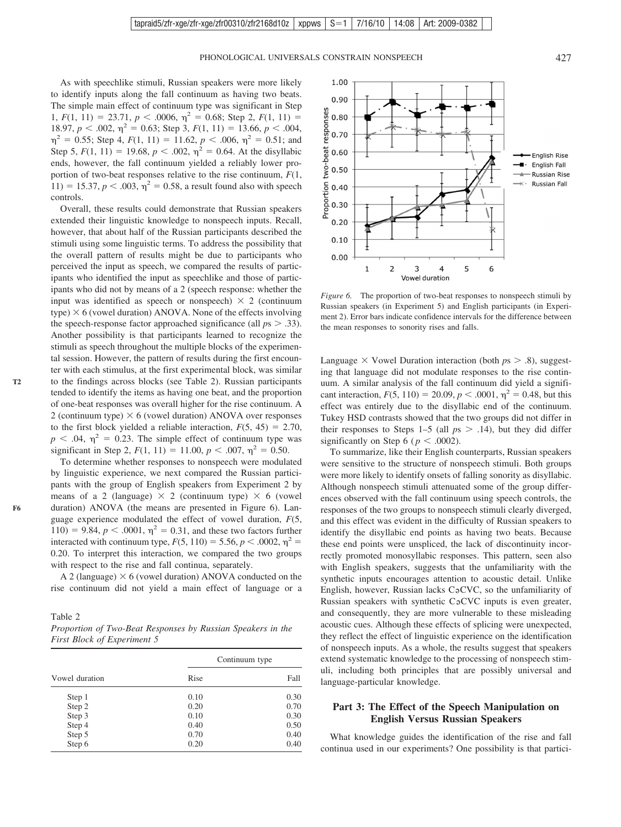As with speechlike stimuli, Russian speakers were more likely to identify inputs along the fall continuum as having two beats. The simple main effect of continuum type was significant in Step 1,  $F(1, 11) = 23.71, p < .0006, \eta^2 = 0.68$ ; Step 2,  $F(1, 11) =$ 18.97,  $p < .002$ ,  $\eta^2 = 0.63$ ; Step 3,  $F(1, 11) = 13.66$ ,  $p < .004$ ,  $\eta^2 = 0.55$ ; Step 4,  $F(1, 11) = 11.62$ ,  $p < .006$ ,  $\eta^2 = 0.51$ ; and Step 5,  $F(1, 11) = 19.68$ ,  $p < .002$ ,  $\eta^2 = 0.64$ . At the disyllabic ends, however, the fall continuum yielded a reliably lower proportion of two-beat responses relative to the rise continuum, *F*(1, 11) = 15.37,  $p < .003$ ,  $\eta^2 = 0.58$ , a result found also with speech controls.

Overall, these results could demonstrate that Russian speakers extended their linguistic knowledge to nonspeech inputs. Recall, however, that about half of the Russian participants described the stimuli using some linguistic terms. To address the possibility that the overall pattern of results might be due to participants who perceived the input as speech, we compared the results of participants who identified the input as speechlike and those of participants who did not by means of a 2 (speech response: whether the input was identified as speech or nonspeech)  $\times$  2 (continuum type)  $\times$  6 (vowel duration) ANOVA. None of the effects involving the speech-response factor approached significance (all  $p_s > .33$ ). Another possibility is that participants learned to recognize the stimuli as speech throughout the multiple blocks of the experimental session. However, the pattern of results during the first encounter with each stimulus, at the first experimental block, was similar to the findings across blocks (see Table 2). Russian participants tended to identify the items as having one beat, and the proportion of one-beat responses was overall higher for the rise continuum. A 2 (continuum type)  $\times$  6 (vowel duration) ANOVA over responses to the first block yielded a reliable interaction,  $F(5, 45) = 2.70$ ,  $p < .04$ ,  $\eta^2 = 0.23$ . The simple effect of continuum type was significant in Step 2,  $F(1, 11) = 11.00, p < .007, \eta^2 = 0.50$ .

To determine whether responses to nonspeech were modulated by linguistic experience, we next compared the Russian participants with the group of English speakers from Experiment 2 by means of a 2 (language)  $\times$  2 (continuum type)  $\times$  6 (vowel duration) ANOVA (the means are presented in Figure 6). Language experience modulated the effect of vowel duration, *F*(5,  $110$ ) = 9.84,  $p < .0001$ ,  $\eta^2 = 0.31$ , and these two factors further interacted with continuum type,  $F(5, 110) = 5.56$ ,  $p < .0002$ ,  $\eta^2 =$ 0.20. To interpret this interaction, we compared the two groups with respect to the rise and fall continua, separately.

A 2 (language)  $\times$  6 (vowel duration) ANOVA conducted on the rise continuum did not yield a main effect of language or a

Table 2

**T2**

**F6**

*Proportion of Two-Beat Responses by Russian Speakers in the First Block of Experiment 5*

|                | Continuum type |      |
|----------------|----------------|------|
| Vowel duration | Rise           | Fall |
| Step 1         | 0.10           | 0.30 |
| Step 2         | 0.20           | 0.70 |
| Step 3         | 0.10           | 0.30 |
| Step 4         | 0.40           | 0.50 |
| Step 5         | 0.70           | 0.40 |
| Step 6         | 0.20           | 0.40 |



*Figure 6.* The proportion of two-beat responses to nonspeech stimuli by Russian speakers (in Experiment 5) and English participants (in Experiment 2). Error bars indicate confidence intervals for the difference between the mean responses to sonority rises and falls.

Language  $\times$  Vowel Duration interaction (both  $ps > .8$ ), suggesting that language did not modulate responses to the rise continuum. A similar analysis of the fall continuum did yield a significant interaction,  $F(5, 110) = 20.09$ ,  $p < .0001$ ,  $\eta^2 = 0.48$ , but this effect was entirely due to the disyllabic end of the continuum. Tukey HSD contrasts showed that the two groups did not differ in their responses to Steps  $1-5$  (all  $ps > .14$ ), but they did differ significantly on Step 6 ( $p < .0002$ ).

To summarize, like their English counterparts, Russian speakers were sensitive to the structure of nonspeech stimuli. Both groups were more likely to identify onsets of falling sonority as disyllabic. Although nonspeech stimuli attenuated some of the group differences observed with the fall continuum using speech controls, the responses of the two groups to nonspeech stimuli clearly diverged, and this effect was evident in the difficulty of Russian speakers to identify the disyllabic end points as having two beats. Because these end points were unspliced, the lack of discontinuity incorrectly promoted monosyllabic responses. This pattern, seen also with English speakers, suggests that the unfamiliarity with the synthetic inputs encourages attention to acoustic detail. Unlike English, however, Russian lacks CaCVC, so the unfamiliarity of Russian speakers with synthetic  $C<sub>9</sub>CVC$  inputs is even greater, and consequently, they are more vulnerable to these misleading acoustic cues. Although these effects of splicing were unexpected, they reflect the effect of linguistic experience on the identification of nonspeech inputs. As a whole, the results suggest that speakers extend systematic knowledge to the processing of nonspeech stimuli, including both principles that are possibly universal and language-particular knowledge.

### **Part 3: The Effect of the Speech Manipulation on English Versus Russian Speakers**

What knowledge guides the identification of the rise and fall continua used in our experiments? One possibility is that partici-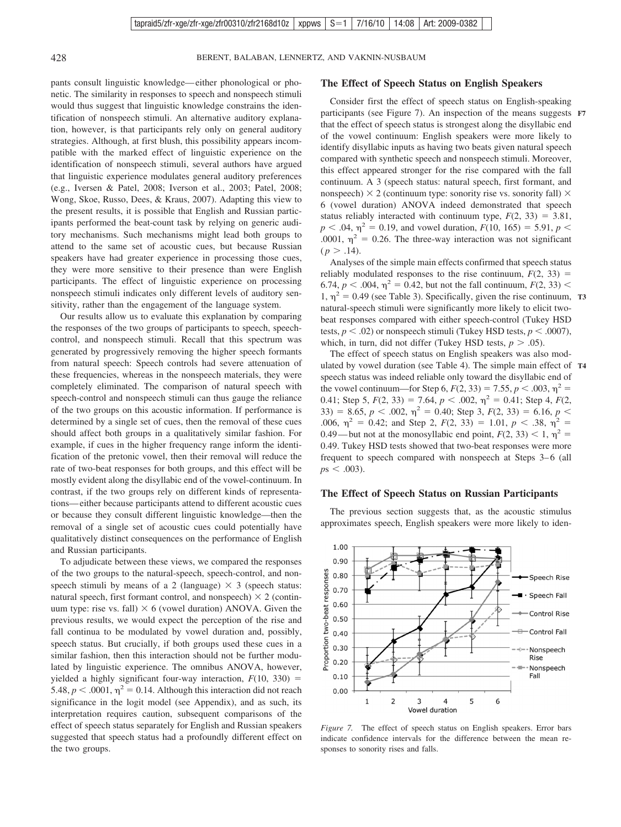pants consult linguistic knowledge— either phonological or phonetic. The similarity in responses to speech and nonspeech stimuli would thus suggest that linguistic knowledge constrains the identification of nonspeech stimuli. An alternative auditory explanation, however, is that participants rely only on general auditory strategies. Although, at first blush, this possibility appears incompatible with the marked effect of linguistic experience on the identification of nonspeech stimuli, several authors have argued that linguistic experience modulates general auditory preferences (e.g., Iversen & Patel, 2008; Iverson et al., 2003; Patel, 2008; Wong, Skoe, Russo, Dees, & Kraus, 2007). Adapting this view to the present results, it is possible that English and Russian participants performed the beat-count task by relying on generic auditory mechanisms. Such mechanisms might lead both groups to attend to the same set of acoustic cues, but because Russian speakers have had greater experience in processing those cues, they were more sensitive to their presence than were English participants. The effect of linguistic experience on processing nonspeech stimuli indicates only different levels of auditory sensitivity, rather than the engagement of the language system.

Our results allow us to evaluate this explanation by comparing the responses of the two groups of participants to speech, speechcontrol, and nonspeech stimuli. Recall that this spectrum was generated by progressively removing the higher speech formants from natural speech: Speech controls had severe attenuation of these frequencies, whereas in the nonspeech materials, they were completely eliminated. The comparison of natural speech with speech-control and nonspeech stimuli can thus gauge the reliance of the two groups on this acoustic information. If performance is determined by a single set of cues, then the removal of these cues should affect both groups in a qualitatively similar fashion. For example, if cues in the higher frequency range inform the identification of the pretonic vowel, then their removal will reduce the rate of two-beat responses for both groups, and this effect will be mostly evident along the disyllabic end of the vowel-continuum. In contrast, if the two groups rely on different kinds of representations— either because participants attend to different acoustic cues or because they consult different linguistic knowledge—then the removal of a single set of acoustic cues could potentially have qualitatively distinct consequences on the performance of English and Russian participants.

To adjudicate between these views, we compared the responses of the two groups to the natural-speech, speech-control, and nonspeech stimuli by means of a 2 (language)  $\times$  3 (speech status: natural speech, first formant control, and nonspeech)  $\times$  2 (continuum type: rise vs. fall)  $\times$  6 (vowel duration) ANOVA. Given the previous results, we would expect the perception of the rise and fall continua to be modulated by vowel duration and, possibly, speech status. But crucially, if both groups used these cues in a similar fashion, then this interaction should not be further modulated by linguistic experience. The omnibus ANOVA, however, yielded a highly significant four-way interaction,  $F(10, 330) =$ 5.48,  $p < .0001$ ,  $\eta^2 = 0.14$ . Although this interaction did not reach significance in the logit model (see Appendix), and as such, its interpretation requires caution, subsequent comparisons of the effect of speech status separately for English and Russian speakers suggested that speech status had a profoundly different effect on the two groups.

#### **The Effect of Speech Status on English Speakers**

Consider first the effect of speech status on English-speaking participants (see Figure 7). An inspection of the means suggests **F7** that the effect of speech status is strongest along the disyllabic end of the vowel continuum: English speakers were more likely to identify disyllabic inputs as having two beats given natural speech compared with synthetic speech and nonspeech stimuli. Moreover, this effect appeared stronger for the rise compared with the fall continuum. A 3 (speech status: natural speech, first formant, and nonspeech)  $\times$  2 (continuum type: sonority rise vs. sonority fall)  $\times$ 6 (vowel duration) ANOVA indeed demonstrated that speech status reliably interacted with continuum type,  $F(2, 33) = 3.81$ ,  $p < .04$ ,  $\eta^2 = 0.19$ , and vowel duration,  $F(10, 165) = 5.91$ ,  $p <$ .0001,  $\eta^2 = 0.26$ . The three-way interaction was not significant  $(p > .14)$ .

Analyses of the simple main effects confirmed that speech status reliably modulated responses to the rise continuum,  $F(2, 33) =$ 6.74,  $p < .004$ ,  $\eta^2 = 0.42$ , but not the fall continuum,  $F(2, 33)$  $1, \eta^2 = 0.49$  (see Table 3). Specifically, given the rise continuum, T3 natural-speech stimuli were significantly more likely to elicit twobeat responses compared with either speech-control (Tukey HSD tests,  $p < .02$ ) or nonspeech stimuli (Tukey HSD tests,  $p < .0007$ ), which, in turn, did not differ (Tukey HSD tests,  $p > .05$ ).

The effect of speech status on English speakers was also modulated by vowel duration (see Table 4). The simple main effect of **T4** speech status was indeed reliable only toward the disyllabic end of the vowel continuum—for Step 6,  $F(2, 33) = 7.55$ ,  $p < .003$ ,  $p^2 =$ 0.41; Step 5,  $F(2, 33) = 7.64$ ,  $p < .002$ ,  $\eta^2 = 0.41$ ; Step 4,  $F(2, 33) = 7.64$ ,  $p < .002$ ,  $\eta^2 = 0.41$ ; Step 4,  $F(2, 33) = .02$ 33) = 8.65,  $p < .002$ ,  $\eta^2 = 0.40$ ; Step 3,  $F(2, 33) = 6.16$ ,  $p <$ .006,  $\eta^2 = 0.42$ ; and Step 2,  $F(2, 33) = 1.01$ ,  $p < .38$ ,  $\eta^2 =$ 0.49—but not at the monosyllabic end point,  $F(2, 33) < 1$ ,  $\eta^2 =$ 0.49. Tukey HSD tests showed that two-beat responses were more frequent to speech compared with nonspeech at Steps 3-6 (all  $p s < .003$ ).

### **The Effect of Speech Status on Russian Participants**

The previous section suggests that, as the acoustic stimulus approximates speech, English speakers were more likely to iden-



*Figure 7.* The effect of speech status on English speakers. Error bars indicate confidence intervals for the difference between the mean responses to sonority rises and falls.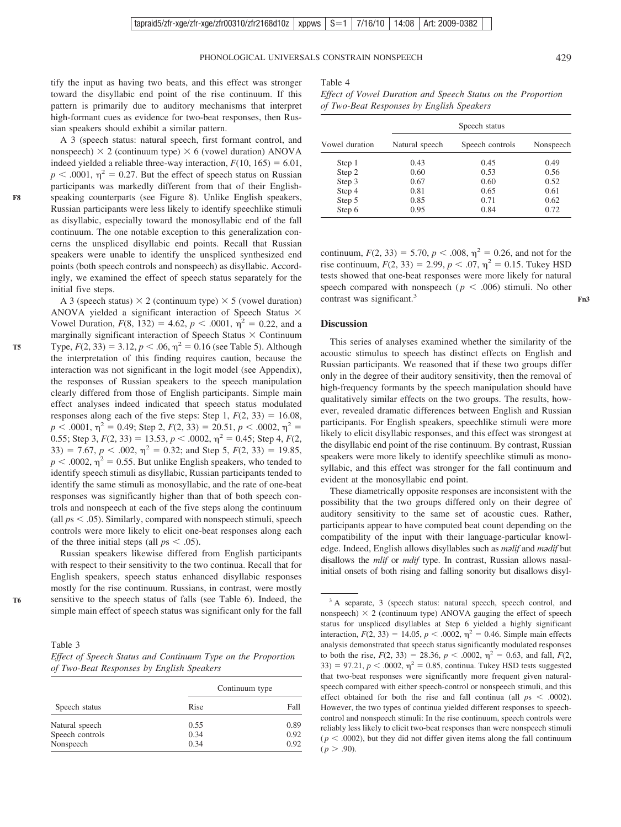tify the input as having two beats, and this effect was stronger toward the disyllabic end point of the rise continuum. If this pattern is primarily due to auditory mechanisms that interpret high-formant cues as evidence for two-beat responses, then Russian speakers should exhibit a similar pattern.

A 3 (speech status: natural speech, first formant control, and nonspeech)  $\times$  2 (continuum type)  $\times$  6 (vowel duration) ANOVA indeed yielded a reliable three-way interaction,  $F(10, 165) = 6.01$ ,  $p < .0001$ ,  $\eta^2 = 0.27$ . But the effect of speech status on Russian participants was markedly different from that of their Englishspeaking counterparts (see Figure 8). Unlike English speakers, Russian participants were less likely to identify speechlike stimuli as disyllabic, especially toward the monosyllabic end of the fall continuum. The one notable exception to this generalization concerns the unspliced disyllabic end points. Recall that Russian speakers were unable to identify the unspliced synthesized end points (both speech controls and nonspeech) as disyllabic. Accordingly, we examined the effect of speech status separately for the initial five steps.

A 3 (speech status)  $\times$  2 (continuum type)  $\times$  5 (vowel duration) ANOVA yielded a significant interaction of Speech Status  $\times$ Vowel Duration,  $F(8, 132) = 4.62$ ,  $p < .0001$ ,  $\eta^2 = 0.22$ , and a marginally significant interaction of Speech Status  $\times$  Continuum Type,  $F(2, 33) = 3.12$ ,  $p < .06$ ,  $\eta^2 = 0.16$  (see Table 5). Although the interpretation of this finding requires caution, because the interaction was not significant in the logit model (see Appendix), the responses of Russian speakers to the speech manipulation clearly differed from those of English participants. Simple main effect analyses indeed indicated that speech status modulated responses along each of the five steps: Step 1,  $F(2, 33) = 16.08$ ,  $p < .0001$ ,  $\eta^2 = 0.49$ ; Step 2,  $F(2, 33) = 20.51$ ,  $p < .0002$ ,  $\eta^2 =$ 0.55; Step 3,  $F(2, 33) = 13.53$ ,  $p < .0002$ ,  $\eta^2 = 0.45$ ; Step 4,  $F(2, 133) = 13.53$ ,  $p < .0002$ ,  $\eta^2 = 0.45$ ; Step 4,  $F(2, 133) = .0002$ 33) = 7.67,  $p < .002$ ,  $\eta^2 = 0.32$ ; and Step 5,  $F(2, 33) = 19.85$ ,  $p < .0002$ ,  $\eta^2 = 0.55$ . But unlike English speakers, who tended to identify speech stimuli as disyllabic, Russian participants tended to identify the same stimuli as monosyllabic, and the rate of one-beat responses was significantly higher than that of both speech controls and nonspeech at each of the five steps along the continuum (all  $ps < .05$ ). Similarly, compared with nonspeech stimuli, speech controls were more likely to elicit one-beat responses along each of the three initial steps (all  $ps < .05$ ).

Russian speakers likewise differed from English participants with respect to their sensitivity to the two continua. Recall that for English speakers, speech status enhanced disyllabic responses mostly for the rise continuum. Russians, in contrast, were mostly sensitive to the speech status of falls (see Table 6). Indeed, the simple main effect of speech status was significant only for the fall

Table 3 *Effect of Speech Status and Continuum Type on the Proportion of Two-Beat Responses by English Speakers*

| Speech status   | Continuum type |      |  |
|-----------------|----------------|------|--|
|                 | Rise           | Fall |  |
| Natural speech  | 0.55           | 0.89 |  |
| Speech controls | 0.34           | 0.92 |  |
| Nonspeech       | 0.34           | 0.92 |  |

Table 4

*Effect of Vowel Duration and Speech Status on the Proportion of Two-Beat Responses by English Speakers*

| Vowel duration | Speech status  |                 |           |  |
|----------------|----------------|-----------------|-----------|--|
|                | Natural speech | Speech controls | Nonspeech |  |
| Step 1         | 0.43           | 0.45            | 0.49      |  |
| Step 2         | 0.60           | 0.53            | 0.56      |  |
| Step 3         | 0.67           | 0.60            | 0.52      |  |
| Step 4         | 0.81           | 0.65            | 0.61      |  |
| Step 5         | 0.85           | 0.71            | 0.62      |  |
| Step 6         | 0.95           | 0.84            | 0.72      |  |
|                |                |                 |           |  |

continuum,  $F(2, 33) = 5.70$ ,  $p < .008$ ,  $\eta^2 = 0.26$ , and not for the rise continuum,  $F(2, 33) = 2.99$ ,  $p < .07$ ,  $\eta^2 = 0.15$ . Tukey HSD tests showed that one-beat responses were more likely for natural speech compared with nonspeech ( $p < .006$ ) stimuli. No other contrast was significant.<sup>3</sup>

### **Discussion**

This series of analyses examined whether the similarity of the acoustic stimulus to speech has distinct effects on English and Russian participants. We reasoned that if these two groups differ only in the degree of their auditory sensitivity, then the removal of high-frequency formants by the speech manipulation should have qualitatively similar effects on the two groups. The results, however, revealed dramatic differences between English and Russian participants. For English speakers, speechlike stimuli were more likely to elicit disyllabic responses, and this effect was strongest at the disyllabic end point of the rise continuum. By contrast, Russian speakers were more likely to identify speechlike stimuli as monosyllabic, and this effect was stronger for the fall continuum and evident at the monosyllabic end point.

These diametrically opposite responses are inconsistent with the possibility that the two groups differed only on their degree of auditory sensitivity to the same set of acoustic cues. Rather, participants appear to have computed beat count depending on the compatibility of the input with their language-particular knowledge. Indeed, English allows disyllables such as *malif* and *madif* but disallows the *mlif* or *mdif* type. In contrast, Russian allows nasalinitial onsets of both rising and falling sonority but disallows disyl-

**Fn3**

**T6**

<sup>&</sup>lt;sup>3</sup> A separate, 3 (speech status: natural speech, speech control, and nonspeech)  $\times$  2 (continuum type) ANOVA gauging the effect of speech status for unspliced disyllables at Step 6 yielded a highly significant interaction,  $F(2, 33) = 14.05$ ,  $p < .0002$ ,  $\eta^2 = 0.46$ . Simple main effects analysis demonstrated that speech status significantly modulated responses to both the rise,  $F(2, 33) = 28.36$ ,  $p < .0002$ ,  $\eta^2 = 0.63$ , and fall,  $F(2, 12)$ 33) = 97.21,  $p < .0002$ ,  $\eta^2 = 0.85$ , continua. Tukey HSD tests suggested that two-beat responses were significantly more frequent given naturalspeech compared with either speech-control or nonspeech stimuli, and this effect obtained for both the rise and fall continua (all  $ps < .0002$ ). However, the two types of continua yielded different responses to speechcontrol and nonspeech stimuli: In the rise continuum, speech controls were reliably less likely to elicit two-beat responses than were nonspeech stimuli  $(p \leq .0002)$ , but they did not differ given items along the fall continuum  $(p > .90)$ .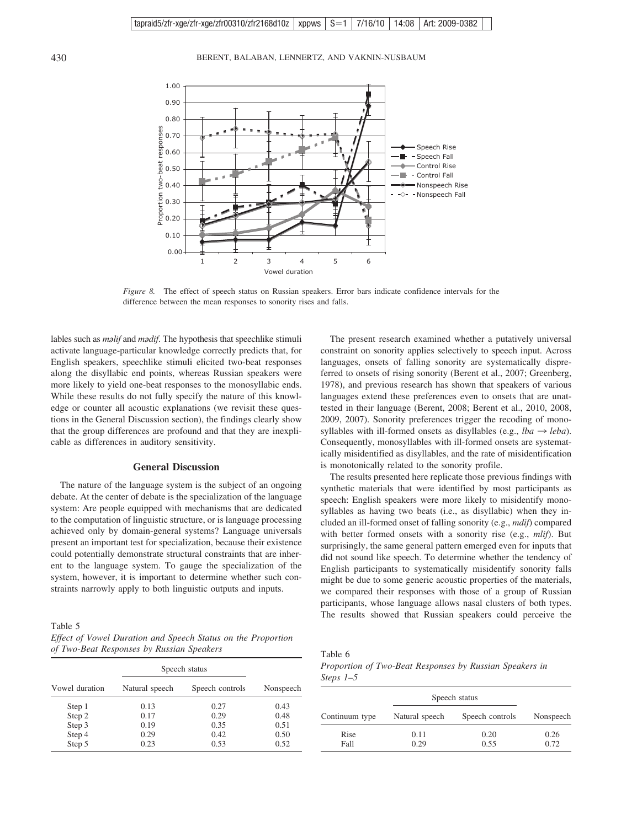

*Figure 8.* The effect of speech status on Russian speakers. Error bars indicate confidence intervals for the difference between the mean responses to sonority rises and falls.

lables such as *malif* and *madif*. The hypothesis that speechlike stimuli activate language-particular knowledge correctly predicts that, for English speakers, speechlike stimuli elicited two-beat responses along the disyllabic end points, whereas Russian speakers were more likely to yield one-beat responses to the monosyllabic ends. While these results do not fully specify the nature of this knowledge or counter all acoustic explanations (we revisit these questions in the General Discussion section), the findings clearly show that the group differences are profound and that they are inexplicable as differences in auditory sensitivity.

#### **General Discussion**

The nature of the language system is the subject of an ongoing debate. At the center of debate is the specialization of the language system: Are people equipped with mechanisms that are dedicated to the computation of linguistic structure, or is language processing achieved only by domain-general systems? Language universals present an important test for specialization, because their existence could potentially demonstrate structural constraints that are inherent to the language system. To gauge the specialization of the system, however, it is important to determine whether such constraints narrowly apply to both linguistic outputs and inputs.

Table 5

*Effect of Vowel Duration and Speech Status on the Proportion of Two-Beat Responses by Russian Speakers*

| Vowel duration | Natural speech | Speech controls | Nonspeech |
|----------------|----------------|-----------------|-----------|
| Step 1         | 0.13           | 0.27            | 0.43      |
| Step 2         | 0.17           | 0.29            | 0.48      |
| Step 3         | 0.19           | 0.35            | 0.51      |
| Step 4         | 0.29           | 0.42            | 0.50      |
| Step 5         | 0.23           | 0.53            | 0.52      |

The present research examined whether a putatively universal constraint on sonority applies selectively to speech input. Across languages, onsets of falling sonority are systematically dispreferred to onsets of rising sonority (Berent et al., 2007; Greenberg, 1978), and previous research has shown that speakers of various languages extend these preferences even to onsets that are unattested in their language (Berent, 2008; Berent et al., 2010, 2008, 2009, 2007). Sonority preferences trigger the recoding of monosyllables with ill-formed onsets as disyllables (e.g.,  $lba \rightarrow leba$ ). Consequently, monosyllables with ill-formed onsets are systematically misidentified as disyllables, and the rate of misidentification is monotonically related to the sonority profile.

The results presented here replicate those previous findings with synthetic materials that were identified by most participants as speech: English speakers were more likely to misidentify monosyllables as having two beats (i.e., as disyllabic) when they included an ill-formed onset of falling sonority (e.g., *mdif*) compared with better formed onsets with a sonority rise (e.g., *mlif*). But surprisingly, the same general pattern emerged even for inputs that did not sound like speech. To determine whether the tendency of English participants to systematically misidentify sonority falls might be due to some generic acoustic properties of the materials, we compared their responses with those of a group of Russian participants, whose language allows nasal clusters of both types. The results showed that Russian speakers could perceive the

Table 6

*Proportion of Two-Beat Responses by Russian Speakers in Steps 1–5*

|                |                | Speech status   |              |
|----------------|----------------|-----------------|--------------|
| Continuum type | Natural speech | Speech controls | Nonspeech    |
| Rise<br>Fall   | 0.11<br>0.29   | 0.20<br>0.55    | 0.26<br>0.72 |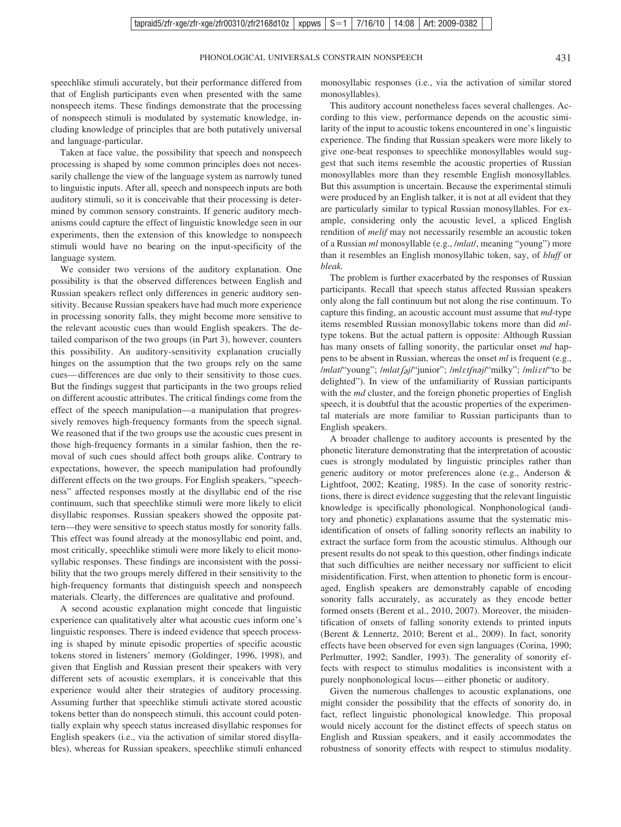speechlike stimuli accurately, but their performance differed from that of English participants even when presented with the same nonspeech items. These findings demonstrate that the processing of nonspeech stimuli is modulated by systematic knowledge, including knowledge of principles that are both putatively universal and language-particular.

Taken at face value, the possibility that speech and nonspeech processing is shaped by some common principles does not necessarily challenge the view of the language system as narrowly tuned to linguistic inputs. After all, speech and nonspeech inputs are both auditory stimuli, so it is conceivable that their processing is determined by common sensory constraints. If generic auditory mechanisms could capture the effect of linguistic knowledge seen in our experiments, then the extension of this knowledge to nonspeech stimuli would have no bearing on the input-specificity of the language system.

We consider two versions of the auditory explanation. One possibility is that the observed differences between English and Russian speakers reflect only differences in generic auditory sensitivity. Because Russian speakers have had much more experience in processing sonority falls, they might become more sensitive to the relevant acoustic cues than would English speakers. The detailed comparison of the two groups (in Part 3), however, counters this possibility. An auditory-sensitivity explanation crucially hinges on the assumption that the two groups rely on the same cues— differences are due only to their sensitivity to those cues. But the findings suggest that participants in the two groups relied on different acoustic attributes. The critical findings come from the effect of the speech manipulation—a manipulation that progressively removes high-frequency formants from the speech signal. We reasoned that if the two groups use the acoustic cues present in those high-frequency formants in a similar fashion, then the removal of such cues should affect both groups alike. Contrary to expectations, however, the speech manipulation had profoundly different effects on the two groups. For English speakers, "speechness" affected responses mostly at the disyllabic end of the rise continuum, such that speechlike stimuli were more likely to elicit disyllabic responses. Russian speakers showed the opposite pattern—they were sensitive to speech status mostly for sonority falls. This effect was found already at the monosyllabic end point, and, most critically, speechlike stimuli were more likely to elicit monosyllabic responses. These findings are inconsistent with the possibility that the two groups merely differed in their sensitivity to the high-frequency formants that distinguish speech and nonspeech materials. Clearly, the differences are qualitative and profound.

A second acoustic explanation might concede that linguistic experience can qualitatively alter what acoustic cues inform one's linguistic responses. There is indeed evidence that speech processing is shaped by minute episodic properties of specific acoustic tokens stored in listeners' memory (Goldinger, 1996, 1998), and given that English and Russian present their speakers with very different sets of acoustic exemplars, it is conceivable that this experience would alter their strategies of auditory processing. Assuming further that speechlike stimuli activate stored acoustic tokens better than do nonspeech stimuli, this account could potentially explain why speech status increased disyllabic responses for English speakers (i.e., via the activation of similar stored disyllables), whereas for Russian speakers, speechlike stimuli enhanced monosyllabic responses (i.e., via the activation of similar stored monosyllables).

This auditory account nonetheless faces several challenges. According to this view, performance depends on the acoustic similarity of the input to acoustic tokens encountered in one's linguistic experience. The finding that Russian speakers were more likely to give one-beat responses to speechlike monosyllables would suggest that such items resemble the acoustic properties of Russian monosyllables more than they resemble English monosyllables. But this assumption is uncertain. Because the experimental stimuli were produced by an English talker, it is not at all evident that they are particularly similar to typical Russian monosyllables. For example, considering only the acoustic level, a spliced English rendition of *melif* may not necessarily resemble an acoustic token of a Russian *ml* monosyllable (e.g., /*mlat*/, meaning "young") more than it resembles an English monosyllabic token, say, of *bluff* or *bleak.*

The problem is further exacerbated by the responses of Russian participants. Recall that speech status affected Russian speakers only along the fall continuum but not along the rise continuum. To capture this finding, an acoustic account must assume that *md*-type items resembled Russian monosyllabic tokens more than did *ml*type tokens. But the actual pattern is opposite: Although Russian has many onsets of falling sonority, the particular onset *md* happens to be absent in Russian, whereas the onset *ml* is frequent (e.g., /*mlat*/"young"; /*mlat j*/"junior"; /*ml t n j*/"milky"; /*mli t*/"to be delighted"). In view of the unfamiliarity of Russian participants with the *md* cluster, and the foreign phonetic properties of English speech, it is doubtful that the acoustic properties of the experimental materials are more familiar to Russian participants than to English speakers.

A broader challenge to auditory accounts is presented by the phonetic literature demonstrating that the interpretation of acoustic cues is strongly modulated by linguistic principles rather than generic auditory or motor preferences alone (e.g., Anderson & Lightfoot, 2002; Keating, 1985). In the case of sonority restrictions, there is direct evidence suggesting that the relevant linguistic knowledge is specifically phonological. Nonphonological (auditory and phonetic) explanations assume that the systematic misidentification of onsets of falling sonority reflects an inability to extract the surface form from the acoustic stimulus. Although our present results do not speak to this question, other findings indicate that such difficulties are neither necessary nor sufficient to elicit misidentification. First, when attention to phonetic form is encouraged, English speakers are demonstrably capable of encoding sonority falls accurately, as accurately as they encode better formed onsets (Berent et al., 2010, 2007). Moreover, the misidentification of onsets of falling sonority extends to printed inputs (Berent & Lennertz, 2010; Berent et al., 2009). In fact, sonority effects have been observed for even sign languages (Corina, 1990; Perlmutter, 1992; Sandler, 1993). The generality of sonority effects with respect to stimulus modalities is inconsistent with a purely nonphonological locus— either phonetic or auditory.

Given the numerous challenges to acoustic explanations, one might consider the possibility that the effects of sonority do, in fact, reflect linguistic phonological knowledge. This proposal would nicely account for the distinct effects of speech status on English and Russian speakers, and it easily accommodates the robustness of sonority effects with respect to stimulus modality.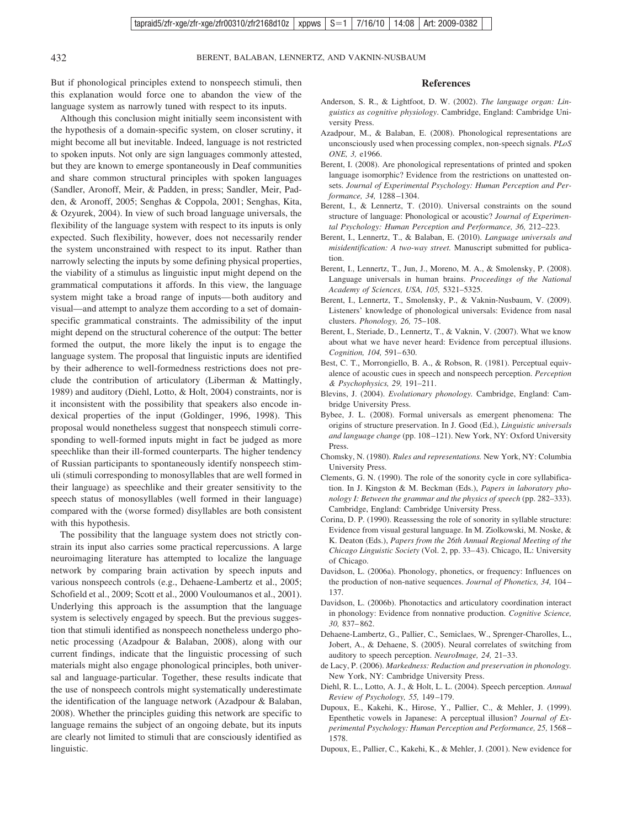But if phonological principles extend to nonspeech stimuli, then this explanation would force one to abandon the view of the language system as narrowly tuned with respect to its inputs.

Although this conclusion might initially seem inconsistent with the hypothesis of a domain-specific system, on closer scrutiny, it might become all but inevitable. Indeed, language is not restricted to spoken inputs. Not only are sign languages commonly attested, but they are known to emerge spontaneously in Deaf communities and share common structural principles with spoken languages (Sandler, Aronoff, Meir, & Padden, in press; Sandler, Meir, Padden, & Aronoff, 2005; Senghas & Coppola, 2001; Senghas, Kita, & Ozyurek, 2004). In view of such broad language universals, the flexibility of the language system with respect to its inputs is only expected. Such flexibility, however, does not necessarily render the system unconstrained with respect to its input. Rather than narrowly selecting the inputs by some defining physical properties, the viability of a stimulus as linguistic input might depend on the grammatical computations it affords. In this view, the language system might take a broad range of inputs— both auditory and visual—and attempt to analyze them according to a set of domainspecific grammatical constraints. The admissibility of the input might depend on the structural coherence of the output: The better formed the output, the more likely the input is to engage the language system. The proposal that linguistic inputs are identified by their adherence to well-formedness restrictions does not preclude the contribution of articulatory (Liberman & Mattingly, 1989) and auditory (Diehl, Lotto, & Holt, 2004) constraints, nor is it inconsistent with the possibility that speakers also encode indexical properties of the input (Goldinger, 1996, 1998). This proposal would nonetheless suggest that nonspeech stimuli corresponding to well-formed inputs might in fact be judged as more speechlike than their ill-formed counterparts. The higher tendency of Russian participants to spontaneously identify nonspeech stimuli (stimuli corresponding to monosyllables that are well formed in their language) as speechlike and their greater sensitivity to the speech status of monosyllables (well formed in their language) compared with the (worse formed) disyllables are both consistent with this hypothesis.

The possibility that the language system does not strictly constrain its input also carries some practical repercussions. A large neuroimaging literature has attempted to localize the language network by comparing brain activation by speech inputs and various nonspeech controls (e.g., Dehaene-Lambertz et al., 2005; Schofield et al., 2009; Scott et al., 2000 Vouloumanos et al., 2001). Underlying this approach is the assumption that the language system is selectively engaged by speech. But the previous suggestion that stimuli identified as nonspeech nonetheless undergo phonetic processing (Azadpour & Balaban, 2008), along with our current findings, indicate that the linguistic processing of such materials might also engage phonological principles, both universal and language-particular. Together, these results indicate that the use of nonspeech controls might systematically underestimate the identification of the language network (Azadpour & Balaban, 2008). Whether the principles guiding this network are specific to language remains the subject of an ongoing debate, but its inputs are clearly not limited to stimuli that are consciously identified as linguistic.

#### **References**

- Anderson, S. R., & Lightfoot, D. W. (2002). *The language organ: Linguistics as cognitive physiology*. Cambridge, England: Cambridge University Press.
- Azadpour, M., & Balaban, E. (2008). Phonological representations are unconsciously used when processing complex, non-speech signals. *PLoS ONE, 3,* e1966.
- Berent, I. (2008). Are phonological representations of printed and spoken language isomorphic? Evidence from the restrictions on unattested onsets. *Journal of Experimental Psychology: Human Perception and Performance, 34,* 1288 –1304.
- Berent, I., & Lennertz, T. (2010). Universal constraints on the sound structure of language: Phonological or acoustic? *Journal of Experimental Psychology: Human Perception and Performance, 36,* 212–223.
- Berent, I., Lennertz, T., & Balaban, E. (2010). *Language universals and misidentification: A two-way street.* Manuscript submitted for publication.
- Berent, I., Lennertz, T., Jun, J., Moreno, M. A., & Smolensky, P. (2008). Language universals in human brains. *Proceedings of the National Academy of Sciences, USA, 105,* 5321–5325.
- Berent, I., Lennertz, T., Smolensky, P., & Vaknin-Nusbaum, V. (2009). Listeners' knowledge of phonological universals: Evidence from nasal clusters. *Phonology, 26,* 75–108.
- Berent, I., Steriade, D., Lennertz, T., & Vaknin, V. (2007). What we know about what we have never heard: Evidence from perceptual illusions. *Cognition, 104,* 591– 630.
- Best, C. T., Morrongiello, B. A., & Robson, R. (1981). Perceptual equivalence of acoustic cues in speech and nonspeech perception. *Perception & Psychophysics, 29,* 191–211.
- Blevins, J. (2004). *Evolutionary phonology.* Cambridge, England: Cambridge University Press.
- Bybee, J. L. (2008). Formal universals as emergent phenomena: The origins of structure preservation. In J. Good (Ed.), *Linguistic universals and language change* (pp. 108 –121). New York, NY: Oxford University Press.
- Chomsky, N. (1980). *Rules and representations.* New York, NY: Columbia University Press.
- Clements, G. N. (1990). The role of the sonority cycle in core syllabification. In J. Kingston & M. Beckman (Eds.), *Papers in laboratory phonology I: Between the grammar and the physics of speech* (pp. 282–333). Cambridge, England: Cambridge University Press.
- Corina, D. P. (1990). Reassessing the role of sonority in syllable structure: Evidence from visual gestural language. In M. Ziolkowski, M. Noske, & K. Deaton (Eds.), *Papers from the 26th Annual Regional Meeting of the Chicago Linguistic Society* (Vol. 2, pp. 33– 43). Chicago, IL: University of Chicago.
- Davidson, L. (2006a). Phonology, phonetics, or frequency: Influences on the production of non-native sequences. *Journal of Phonetics, 34,* 104 – 137.
- Davidson, L. (2006b). Phonotactics and articulatory coordination interact in phonology: Evidence from nonnative production. *Cognitive Science, 30,* 837– 862.
- Dehaene-Lambertz, G., Pallier, C., Semiclaes, W., Sprenger-Charolles, L., Jobert, A., & Dehaene, S. (2005). Neural correlates of switching from auditory to speech perception. *NeuroImage, 24,* 21–33.
- de Lacy, P. (2006). *Markedness: Reduction and preservation in phonology.* New York, NY: Cambridge University Press.
- Diehl, R. L., Lotto, A. J., & Holt, L. L. (2004). Speech perception. *Annual Review of Psychology, 55,* 149 –179.
- Dupoux, E., Kakehi, K., Hirose, Y., Pallier, C., & Mehler, J. (1999). Epenthetic vowels in Japanese: A perceptual illusion? *Journal of Experimental Psychology: Human Perception and Performance, 25,* 1568 – 1578.
- Dupoux, E., Pallier, C., Kakehi, K., & Mehler, J. (2001). New evidence for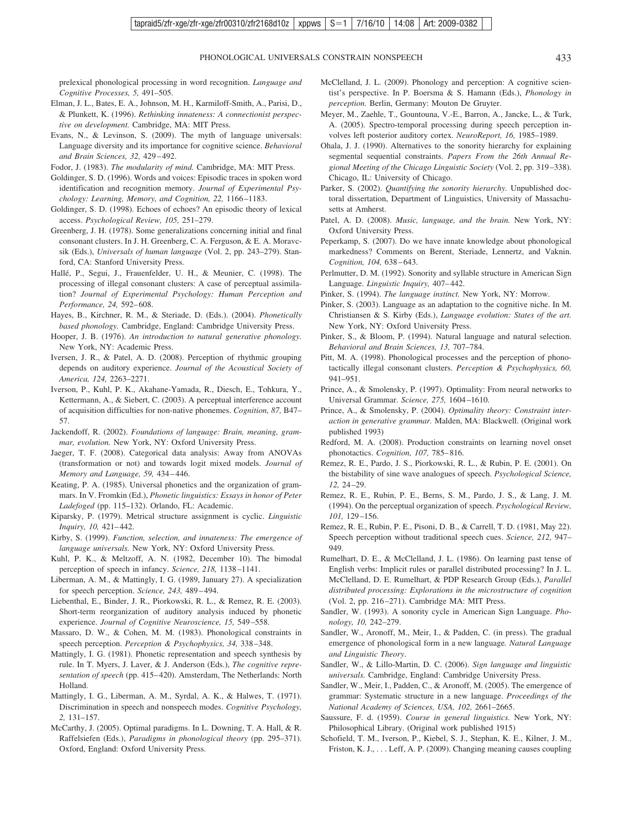prelexical phonological processing in word recognition. *Language and Cognitive Processes, 5,* 491–505.

- Elman, J. L., Bates, E. A., Johnson, M. H., Karmiloff-Smith, A., Parisi, D., & Plunkett, K. (1996). *Rethinking innateness: A connectionist perspective on development.* Cambridge, MA: MIT Press.
- Evans, N., & Levinson, S. (2009). The myth of language universals: Language diversity and its importance for cognitive science. *Behavioral and Brain Sciences, 32,* 429 – 492.
- Fodor, J. (1983). *The modularity of mind.* Cambridge, MA: MIT Press.
- Goldinger, S. D. (1996). Words and voices: Episodic traces in spoken word identification and recognition memory. *Journal of Experimental Psychology: Learning, Memory, and Cognition, 22,* 1166 –1183.
- Goldinger, S. D. (1998). Echoes of echoes? An episodic theory of lexical access. *Psychological Review, 105,* 251–279.
- Greenberg, J. H. (1978). Some generalizations concerning initial and final consonant clusters. In J. H. Greenberg, C. A. Ferguson, & E. A. Moravcsik (Eds.), *Universals of human language* (Vol. 2, pp. 243–279). Stanford, CA: Stanford University Press.
- Hallé, P., Segui, J., Frauenfelder, U. H., & Meunier, C. (1998). The processing of illegal consonant clusters: A case of perceptual assimilation? *Journal of Experimental Psychology: Human Perception and Performance, 24,* 592– 608.
- Hayes, B., Kirchner, R. M., & Steriade, D. (Eds.). (2004). *Phonetically based phonology.* Cambridge, England: Cambridge University Press.
- Hooper, J. B. (1976). *An introduction to natural generative phonology.* New York, NY: Academic Press.
- Iversen, J. R., & Patel, A. D. (2008). Perception of rhythmic grouping depends on auditory experience. *Journal of the Acoustical Society of America, 124,* 2263–2271.
- Iverson, P., Kuhl, P. K., Akahane-Yamada, R., Diesch, E., Tohkura, Y., Kettermann, A., & Siebert, C. (2003). A perceptual interference account of acquisition difficulties for non-native phonemes. *Cognition, 87,* B47– 57.
- Jackendoff, R. (2002). *Foundations of language: Brain, meaning, grammar, evolution.* New York, NY: Oxford University Press.
- Jaeger, T. F. (2008). Categorical data analysis: Away from ANOVAs (transformation or not) and towards logit mixed models. *Journal of Memory and Language, 59,* 434 – 446.
- Keating, P. A. (1985). Universal phonetics and the organization of grammars. In V. Fromkin (Ed.), *Phonetic linguistics: Essays in honor of Peter Ladefoged* (pp. 115–132). Orlando, FL: Academic.
- Kiparsky, P. (1979). Metrical structure assignment is cyclic. *Linguistic Inquiry, 10,* 421– 442.
- Kirby, S. (1999). *Function, selection, and innateness: The emergence of language universals.* New York, NY: Oxford University Press.
- Kuhl, P. K., & Meltzoff, A. N. (1982, December 10). The bimodal perception of speech in infancy. *Science, 218,* 1138 –1141.
- Liberman, A. M., & Mattingly, I. G. (1989, January 27). A specialization for speech perception. *Science, 243,* 489 – 494.
- Liebenthal, E., Binder, J. R., Piorkowski, R. L., & Remez, R. E. (2003). Short-term reorganization of auditory analysis induced by phonetic experience. *Journal of Cognitive Neuroscience, 15,* 549 –558.
- Massaro, D. W., & Cohen, M. M. (1983). Phonological constraints in speech perception. *Perception & Psychophysics, 34,* 338 –348.
- Mattingly, I. G. (1981). Phonetic representation and speech synthesis by rule. In T. Myers, J. Laver, & J. Anderson (Eds.), *The cognitive repre*sentation of speech (pp. 415–420). Amsterdam, The Netherlands: North Holland.
- Mattingly, I. G., Liberman, A. M., Syrdal, A. K., & Halwes, T. (1971). Discrimination in speech and nonspeech modes. *Cognitive Psychology, 2,* 131–157.
- McCarthy, J. (2005). Optimal paradigms. In L. Downing, T. A. Hall, & R. Raffelsiefen (Eds.), *Paradigms in phonological theory* (pp. 295–371). Oxford, England: Oxford University Press.
- McClelland, J. L. (2009). Phonology and perception: A cognitive scientist's perspective. In P. Boersma & S. Hamann (Eds.), *Phonology in perception.* Berlin, Germany: Mouton De Gruyter.
- Meyer, M., Zaehle, T., Gountouna, V.-E., Barron, A., Jancke, L., & Turk, A. (2005). Spectro-temporal processing during speech perception involves left posterior auditory cortex. *NeuroReport, 16,* 1985–1989.
- Ohala, J. J. (1990). Alternatives to the sonority hierarchy for explaining segmental sequential constraints. *Papers From the 26th Annual Regional Meeting of the Chicago Linguistic Society* (Vol. 2, pp. 319 –338). Chicago, IL: University of Chicago.
- Parker, S. (2002). *Quantifying the sonority hierarchy.* Unpublished doctoral dissertation, Department of Linguistics, University of Massachusetts at Amherst.
- Patel, A. D. (2008). *Music, language, and the brain.* New York, NY: Oxford University Press.
- Peperkamp, S. (2007). Do we have innate knowledge about phonological markedness? Comments on Berent, Steriade, Lennertz, and Vaknin. *Cognition, 104,* 638 – 643.
- Perlmutter, D. M. (1992). Sonority and syllable structure in American Sign Language. *Linguistic Inquiry*, 407-442.
- Pinker, S. (1994). *The language instinct.* New York, NY: Morrow.
- Pinker, S. (2003). Language as an adaptation to the cognitive niche. In M. Christiansen & S. Kirby (Eds.), *Language evolution: States of the art.* New York, NY: Oxford University Press.
- Pinker, S., & Bloom, P. (1994). Natural language and natural selection. *Behavioral and Brain Sciences, 13,* 707–784.
- Pitt, M. A. (1998). Phonological processes and the perception of phonotactically illegal consonant clusters. *Perception & Psychophysics, 60,* 941–951.
- Prince, A., & Smolensky, P. (1997). Optimality: From neural networks to Universal Grammar. *Science, 275,* 1604 –1610.
- Prince, A., & Smolensky, P. (2004). *Optimality theory: Constraint interaction in generative grammar.* Malden, MA: Blackwell. (Original work published 1993)
- Redford, M. A. (2008). Production constraints on learning novel onset phonotactics. *Cognition, 107,* 785– 816.
- Remez, R. E., Pardo, J. S., Piorkowski, R. L., & Rubin, P. E. (2001). On the bistability of sine wave analogues of speech. *Psychological Science, 12,* 24 –29.
- Remez, R. E., Rubin, P. E., Berns, S. M., Pardo, J. S., & Lang, J. M. (1994). On the perceptual organization of speech. *Psychological Review, 101,* 129 –156.
- Remez, R. E., Rubin, P. E., Pisoni, D. B., & Carrell, T. D. (1981, May 22). Speech perception without traditional speech cues. *Science, 212,* 947– 949.
- Rumelhart, D. E., & McClelland, J. L. (1986). On learning past tense of English verbs: Implicit rules or parallel distributed processing? In J. L. McClelland, D. E. Rumelhart, & PDP Research Group (Eds.), *Parallel distributed processing: Explorations in the microstructure of cognition* (Vol. 2, pp. 216 –271). Cambridge MA: MIT Press.
- Sandler, W. (1993). A sonority cycle in American Sign Language. *Phonology, 10,* 242–279.
- Sandler, W., Aronoff, M., Meir, I., & Padden, C. (in press). The gradual emergence of phonological form in a new language*. Natural Language and Linguistic Theory*.
- Sandler, W., & Lillo-Martin, D. C. (2006). *Sign language and linguistic universals.* Cambridge, England: Cambridge University Press.
- Sandler, W., Meir, I., Padden, C., & Aronoff, M. (2005). The emergence of grammar: Systematic structure in a new language. *Proceedings of the National Academy of Sciences, USA, 102,* 2661–2665.
- Saussure, F. d. (1959). *Course in general linguistics.* New York, NY: Philosophical Library. (Original work published 1915)
- Schofield, T. M., Iverson, P., Kiebel, S. J., Stephan, K. E., Kilner, J. M., Friston, K. J., . . . Leff, A. P. (2009). Changing meaning causes coupling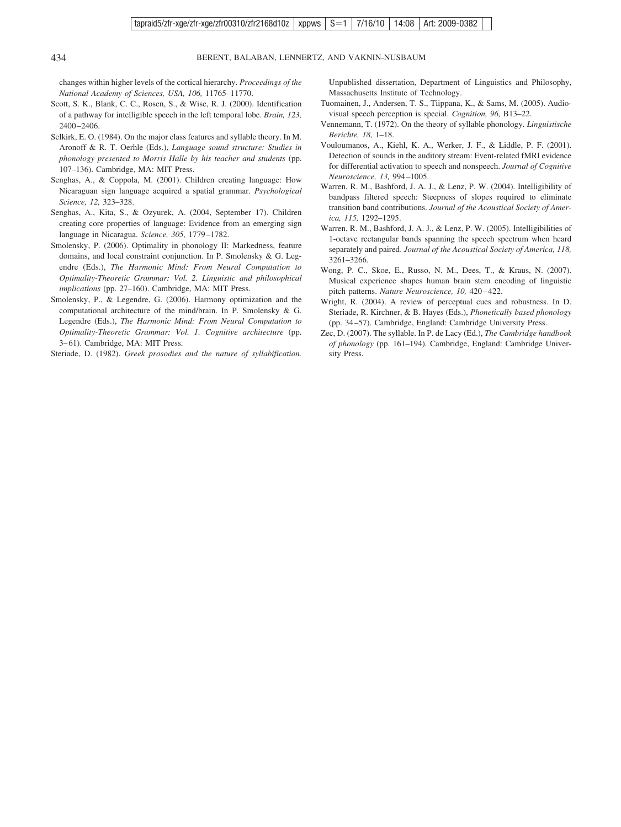changes within higher levels of the cortical hierarchy. *Proceedings of the National Academy of Sciences, USA, 106,* 11765–11770.

- Scott, S. K., Blank, C. C., Rosen, S., & Wise, R. J. (2000). Identification of a pathway for intelligible speech in the left temporal lobe. *Brain, 123,* 2400 –2406.
- Selkirk, E. O. (1984). On the major class features and syllable theory. In M. Aronoff & R. T. Oerhle (Eds.), *Language sound structure: Studies in phonology presented to Morris Halle by his teacher and students* (pp. 107–136). Cambridge, MA: MIT Press.
- Senghas, A., & Coppola, M. (2001). Children creating language: How Nicaraguan sign language acquired a spatial grammar. *Psychological Science, 12,* 323–328.
- Senghas, A., Kita, S., & Ozyurek, A. (2004, September 17). Children creating core properties of language: Evidence from an emerging sign language in Nicaragua. *Science, 305,* 1779 –1782.
- Smolensky, P. (2006). Optimality in phonology II: Markedness, feature domains, and local constraint conjunction. In P. Smolensky & G. Legendre (Eds.), *The Harmonic Mind: From Neural Computation to Optimality-Theoretic Grammar: Vol. 2. Linguistic and philosophical implications* (pp. 27–160). Cambridge, MA: MIT Press.
- Smolensky, P., & Legendre, G. (2006). Harmony optimization and the computational architecture of the mind/brain. In P. Smolensky & G. Legendre (Eds.), *The Harmonic Mind: From Neural Computation to Optimality-Theoretic Grammar: Vol. 1. Cognitive architecture* (pp. 3– 61). Cambridge, MA: MIT Press.

Steriade, D. (1982). *Greek prosodies and the nature of syllabification.*

Unpublished dissertation, Department of Linguistics and Philosophy, Massachusetts Institute of Technology.

- Tuomainen, J., Andersen, T. S., Tiippana, K., & Sams, M. (2005). Audiovisual speech perception is special. *Cognition, 96,* B13–22.
- Vennemann, T. (1972). On the theory of syllable phonology. *Linguistische Berichte, 18,* 1–18.
- Vouloumanos, A., Kiehl, K. A., Werker, J. F., & Liddle, P. F. (2001). Detection of sounds in the auditory stream: Event-related fMRI evidence for differential activation to speech and nonspeech. *Journal of Cognitive Neuroscience, 13,* 994 –1005.
- Warren, R. M., Bashford, J. A. J., & Lenz, P. W. (2004). Intelligibility of bandpass filtered speech: Steepness of slopes required to eliminate transition band contributions. *Journal of the Acoustical Society of America, 115,* 1292–1295.
- Warren, R. M., Bashford, J. A. J., & Lenz, P. W. (2005). Intelligibilities of 1-octave rectangular bands spanning the speech spectrum when heard separately and paired. *Journal of the Acoustical Society of America, 118,* 3261–3266.
- Wong, P. C., Skoe, E., Russo, N. M., Dees, T., & Kraus, N. (2007). Musical experience shapes human brain stem encoding of linguistic pitch patterns. *Nature Neuroscience*, 10, 420-422.
- Wright, R. (2004). A review of perceptual cues and robustness. In D. Steriade, R. Kirchner, & B. Hayes (Eds.), *Phonetically based phonology* (pp. 34 –57). Cambridge, England: Cambridge University Press.
- Zec, D. (2007). The syllable. In P. de Lacy (Ed.), *The Cambridge handbook of phonology* (pp. 161–194). Cambridge, England: Cambridge University Press.